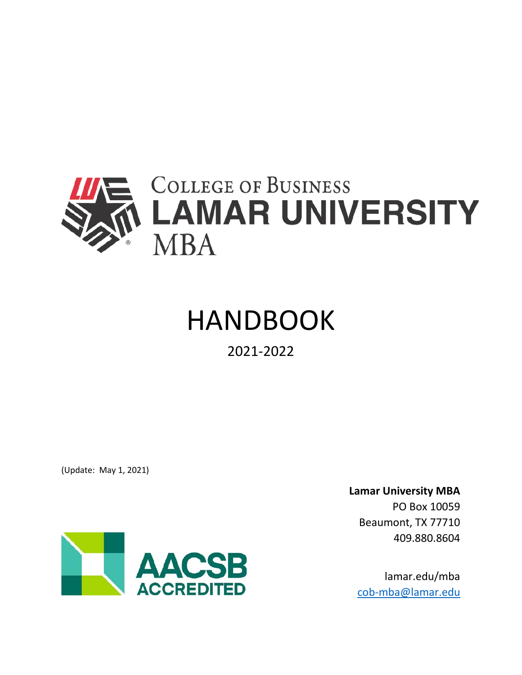

# HANDBOOK

# 2021-2022

(Update: May 1, 2021)



**Lamar University MBA** PO Box 10059 Beaumont, TX 77710 409.880.8604

lamar.edu/mba [cob-mba@lamar.edu](mailto:cob-mba@lamar.edu)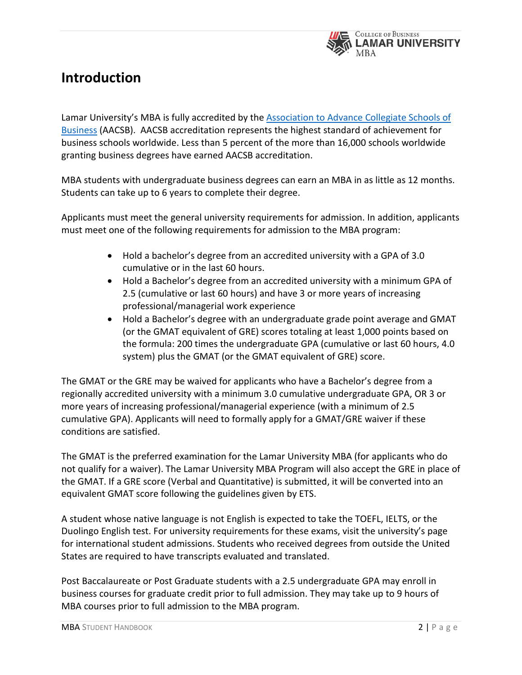

# **Introduction**

Lamar University's MBA is fully accredited by the [Association to Advance Collegiate Schools of](http://www.aacsb.edu/)  [Business](http://www.aacsb.edu/) (AACSB). AACSB accreditation represents the highest standard of achievement for business schools worldwide. Less than 5 percent of the more than 16,000 schools worldwide granting business degrees have earned AACSB accreditation.

MBA students with undergraduate business degrees can earn an MBA in as little as 12 months. Students can take up to 6 years to complete their degree.

Applicants must meet the general university requirements for admission. In addition, applicants must meet one of the following requirements for admission to the MBA program:

- Hold a bachelor's degree from an accredited university with a GPA of 3.0 cumulative or in the last 60 hours.
- Hold a Bachelor's degree from an accredited university with a minimum GPA of 2.5 (cumulative or last 60 hours) and have 3 or more years of increasing professional/managerial work experience
- Hold a Bachelor's degree with an undergraduate grade point average and GMAT (or the GMAT equivalent of GRE) scores totaling at least 1,000 points based on the formula: 200 times the undergraduate GPA (cumulative or last 60 hours, 4.0 system) plus the GMAT (or the GMAT equivalent of GRE) score.

The GMAT or the GRE may be waived for applicants who have a Bachelor's degree from a regionally accredited university with a minimum 3.0 cumulative undergraduate GPA, OR 3 or more years of increasing professional/managerial experience (with a minimum of 2.5 cumulative GPA). Applicants will need to formally apply for a GMAT/GRE waiver if these conditions are satisfied.

The GMAT is the preferred examination for the Lamar University MBA (for applicants who do not qualify for a waiver). The Lamar University MBA Program will also accept the GRE in place of the GMAT. If a GRE score (Verbal and Quantitative) is submitted, it will be converted into an equivalent GMAT score following the guidelines given by ETS.

A student whose native language is not English is expected to take the TOEFL, IELTS, or the Duolingo English test. For university requirements for these exams, visit the university's page for international student admissions. Students who received degrees from outside the United States are required to have transcripts evaluated and translated.

Post Baccalaureate or Post Graduate students with a 2.5 undergraduate GPA may enroll in business courses for graduate credit prior to full admission. They may take up to 9 hours of MBA courses prior to full admission to the MBA program.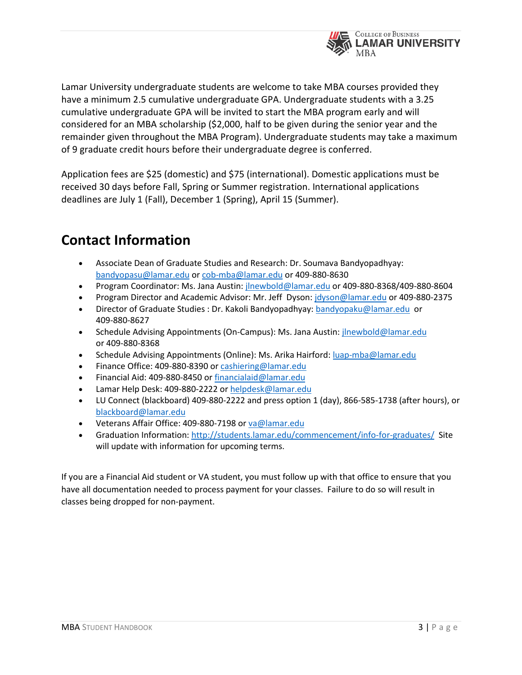

Lamar University undergraduate students are welcome to take MBA courses provided they have a minimum 2.5 cumulative undergraduate GPA. Undergraduate students with a 3.25 cumulative undergraduate GPA will be invited to start the MBA program early and will considered for an MBA scholarship (\$2,000, half to be given during the senior year and the remainder given throughout the MBA Program). Undergraduate students may take a maximum of 9 graduate credit hours before their undergraduate degree is conferred.

Application fees are \$25 (domestic) and \$75 (international). Domestic applications must be received 30 days before Fall, Spring or Summer registration. International applications deadlines are July 1 (Fall), December 1 (Spring), April 15 (Summer).

# **Contact Information**

- Associate Dean of Graduate Studies and Research: Dr. Soumava Bandyopadhyay: [bandyopasu@lamar.edu](mailto:bandyopasu@lamar.edu) or [cob-mba@lamar.edu](mailto:cob-mba@lamar.edu) or 409-880-8630
- Program Coordinator: Ms. Jana Austin: [jlnewbold@lamar.edu](mailto:jlnewbold@lamar.edu) or 409-880-8368/409-880-8604
- Program Director and Academic Advisor: Mr. Jeff Dyson: [jdyson@lamar.edu](mailto:jdyson@lamar.edu) or 409-880-2375
- Director of Graduate Studies : Dr. Kakoli Bandyopadhyay: [bandyopaku@lamar.edu](mailto:bandyopaku@lamar.edu) or 409-880-8627
- Schedule Advising Appointments (On-Campus): Ms. Jana Austin: [jlnewbold@lamar.edu](about:blank) or 409-880-8368
- Schedule Advising Appointments (Online): Ms. Arika Hairford: [luap-mba@lamar.edu](mailto:luap-mba@lamar.edu)
- Finance Office: 409-880-8390 o[r cashiering@lamar.edu](about:blank)
- Financial Aid: 409-880-8450 o[r financialaid@lamar.edu](about:blank)
- Lamar Help Desk: 409-880-2222 or [helpdesk@lamar.edu](about:blank)
- LU Connect (blackboard) 409-880-2222 and press option 1 (day), 866-585-1738 (after hours), or [blackboard@lamar.edu](about:blank)
- Veterans Affair Office: 409-880-7198 o[r va@lamar.edu](about:blank)
- Graduation Information[: http://students.lamar.edu/commencement/info-for-graduates/](about:blank) Site will update with information for upcoming terms.

If you are a Financial Aid student or VA student, you must follow up with that office to ensure that you have all documentation needed to process payment for your classes. Failure to do so will result in classes being dropped for non-payment.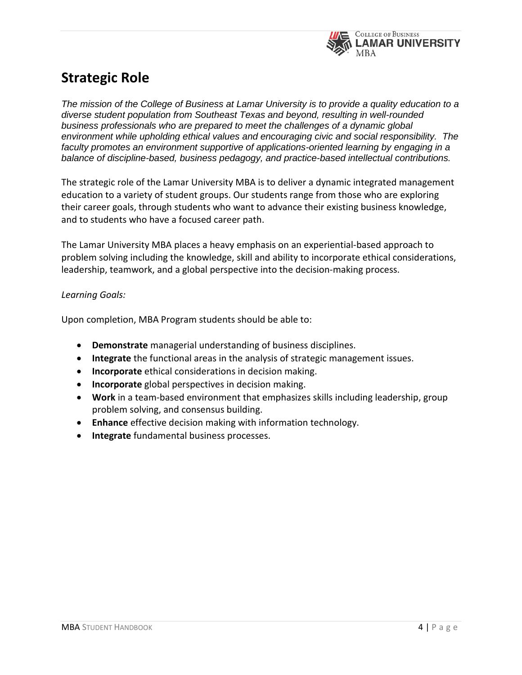

# **Strategic Role**

*The mission of the College of Business at Lamar University is to provide a quality education to a diverse student population from Southeast Texas and beyond, resulting in well-rounded business professionals who are prepared to meet the challenges of a dynamic global environment while upholding ethical values and encouraging civic and social responsibility. The faculty promotes an environment supportive of applications-oriented learning by engaging in a balance of discipline-based, business pedagogy, and practice-based intellectual contributions.*

The strategic role of the Lamar University MBA is to deliver a dynamic integrated management education to a variety of student groups. Our students range from those who are exploring their career goals, through students who want to advance their existing business knowledge, and to students who have a focused career path.

The Lamar University MBA places a heavy emphasis on an experiential-based approach to problem solving including the knowledge, skill and ability to incorporate ethical considerations, leadership, teamwork, and a global perspective into the decision-making process.

# *Learning Goals:*

Upon completion, MBA Program students should be able to:

- **Demonstrate** managerial understanding of business disciplines.
- **Integrate** the functional areas in the analysis of strategic management issues.
- **Incorporate** ethical considerations in decision making.
- **Incorporate** global perspectives in decision making.
- **Work** in a team-based environment that emphasizes skills including leadership, group problem solving, and consensus building.
- **Enhance** effective decision making with information technology.
- **Integrate** fundamental business processes.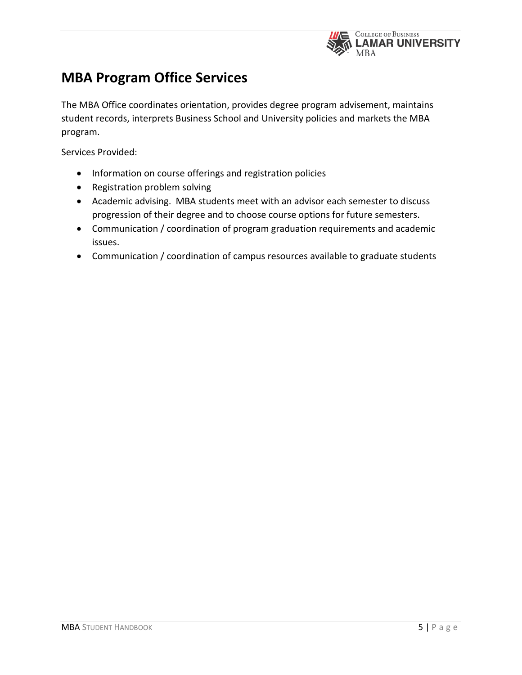

# **MBA Program Office Services**

The MBA Office coordinates orientation, provides degree program advisement, maintains student records, interprets Business School and University policies and markets the MBA program.

Services Provided:

- Information on course offerings and registration policies
- Registration problem solving
- Academic advising. MBA students meet with an advisor each semester to discuss progression of their degree and to choose course options for future semesters.
- Communication / coordination of program graduation requirements and academic issues.
- Communication / coordination of campus resources available to graduate students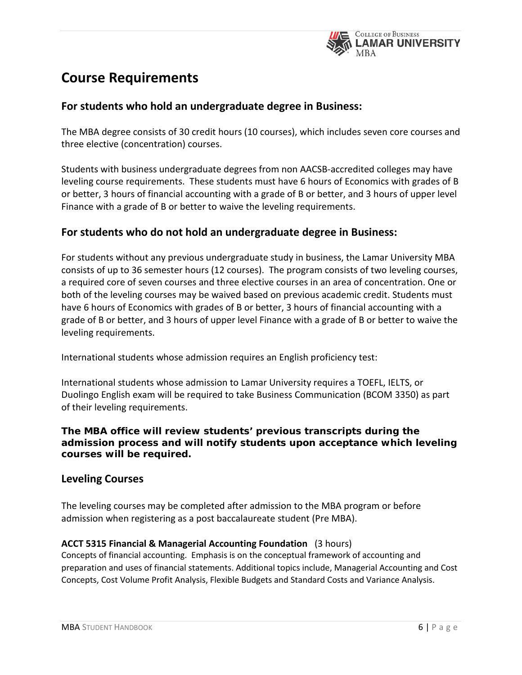

# **Course Requirements**

# **For students who hold an undergraduate degree in Business:**

The MBA degree consists of 30 credit hours (10 courses), which includes seven core courses and three elective (concentration) courses.

Students with business undergraduate degrees from non AACSB-accredited colleges may have leveling course requirements. These students must have 6 hours of Economics with grades of B or better, 3 hours of financial accounting with a grade of B or better, and 3 hours of upper level Finance with a grade of B or better to waive the leveling requirements.

# **For students who do not hold an undergraduate degree in Business:**

For students without any previous undergraduate study in business, the Lamar University MBA consists of up to 36 semester hours (12 courses). The program consists of two leveling courses, a required core of seven courses and three elective courses in an area of concentration. One or both of the leveling courses may be waived based on previous academic credit. Students must have 6 hours of Economics with grades of B or better, 3 hours of financial accounting with a grade of B or better, and 3 hours of upper level Finance with a grade of B or better to waive the leveling requirements.

International students whose admission requires an English proficiency test:

International students whose admission to Lamar University requires a TOEFL, IELTS, or Duolingo English exam will be required to take Business Communication (BCOM 3350) as part of their leveling requirements.

# *The MBA office will review students' previous transcripts during the admission process and will notify students upon acceptance which leveling courses will be required.*

# **Leveling Courses**

The leveling courses may be completed after admission to the MBA program or before admission when registering as a post baccalaureate student (Pre MBA).

# **ACCT 5315 Financial & Managerial Accounting Foundation** (3 hours)

Concepts of financial accounting. Emphasis is on the conceptual framework of accounting and preparation and uses of financial statements. Additional topics include, Managerial Accounting and Cost Concepts, Cost Volume Profit Analysis, Flexible Budgets and Standard Costs and Variance Analysis.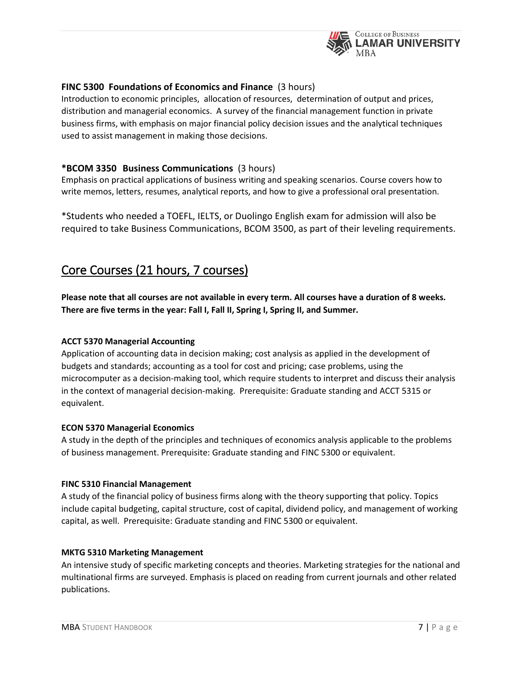

# **FINC 5300 Foundations of Economics and Finance** (3 hours)

Introduction to economic principles, allocation of resources, determination of output and prices, distribution and managerial economics. A survey of the financial management function in private business firms, with emphasis on major financial policy decision issues and the analytical techniques used to assist management in making those decisions.

#### **\*BCOM 3350 Business Communications** (3 hours)

Emphasis on practical applications of business writing and speaking scenarios. Course covers how to write memos, letters, resumes, analytical reports, and how to give a professional oral presentation.

\*Students who needed a TOEFL, IELTS, or Duolingo English exam for admission will also be required to take Business Communications, BCOM 3500, as part of their leveling requirements.

# Core Courses (21 hours, 7 courses)

**Please note that all courses are not available in every term. All courses have a duration of 8 weeks. There are five terms in the year: Fall I, Fall II, Spring I, Spring II, and Summer.** 

#### **ACCT 5370 Managerial Accounting**

Application of accounting data in decision making; cost analysis as applied in the development of budgets and standards; accounting as a tool for cost and pricing; case problems, using the microcomputer as a decision-making tool, which require students to interpret and discuss their analysis in the context of managerial decision-making. Prerequisite: Graduate standing and ACCT 5315 or equivalent.

#### **ECON 5370 Managerial Economics**

A study in the depth of the principles and techniques of economics analysis applicable to the problems of business management. Prerequisite: Graduate standing and FINC 5300 or equivalent.

#### **FINC 5310 Financial Management**

A study of the financial policy of business firms along with the theory supporting that policy. Topics include capital budgeting, capital structure, cost of capital, dividend policy, and management of working capital, as well. Prerequisite: Graduate standing and FINC 5300 or equivalent.

#### **MKTG 5310 Marketing Management**

An intensive study of specific marketing concepts and theories. Marketing strategies for the national and multinational firms are surveyed. Emphasis is placed on reading from current journals and other related publications.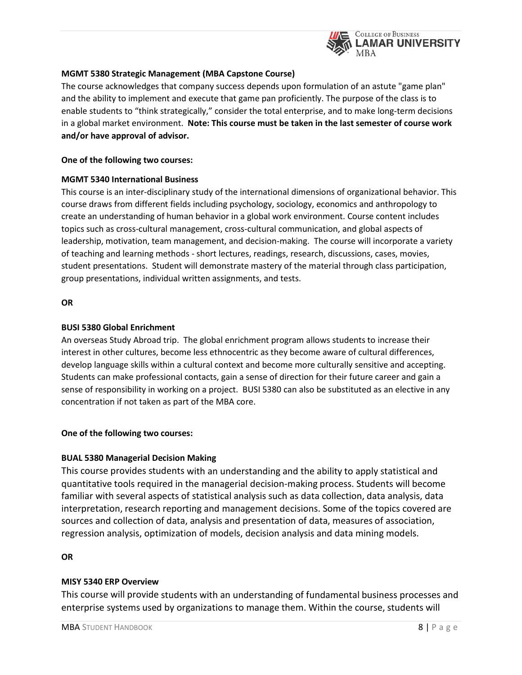

#### **MGMT 5380 Strategic Management (MBA Capstone Course)**

The course acknowledges that company success depends upon formulation of an astute "game plan" and the ability to implement and execute that game pan proficiently. The purpose of the class is to enable students to "think strategically," consider the total enterprise, and to make long-term decisions in a global market environment. **Note: This course must be taken in the last semester of course work and/or have approval of advisor.**

#### **One of the following two courses:**

#### **MGMT 5340 International Business**

This course is an inter-disciplinary study of the international dimensions of organizational behavior. This course draws from different fields including psychology, sociology, economics and anthropology to create an understanding of human behavior in a global work environment. Course content includes topics such as cross-cultural management, cross-cultural communication, and global aspects of leadership, motivation, team management, and decision-making. The course will incorporate a variety of teaching and learning methods - short lectures, readings, research, discussions, cases, movies, student presentations. Student will demonstrate mastery of the material through class participation, group presentations, individual written assignments, and tests.

#### **OR**

#### **BUSI 5380 Global Enrichment**

An overseas Study Abroad trip. The global enrichment program allows students to increase their interest in other cultures, become less ethnocentric as they become aware of cultural differences, develop language skills within a cultural context and become more culturally sensitive and accepting. Students can make professional contacts, gain a sense of direction for their future career and gain a sense of responsibility in working on a project. BUSI 5380 can also be substituted as an elective in any concentration if not taken as part of the MBA core.

#### **One of the following two courses:**

#### **BUAL 5380 Managerial Decision Making**

This course provides students with an understanding and the ability to apply statistical and quantitative tools required in the managerial decision-making process. Students will become familiar with several aspects of statistical analysis such as data collection, data analysis, data interpretation, research reporting and management decisions. Some of the topics covered are sources and collection of data, analysis and presentation of data, measures of association, regression analysis, optimization of models, decision analysis and data mining models.

#### **OR**

#### **MISY 5340 ERP Overview**

This course will provide students with an understanding of fundamental business processes and enterprise systems used by organizations to manage them. Within the course, students will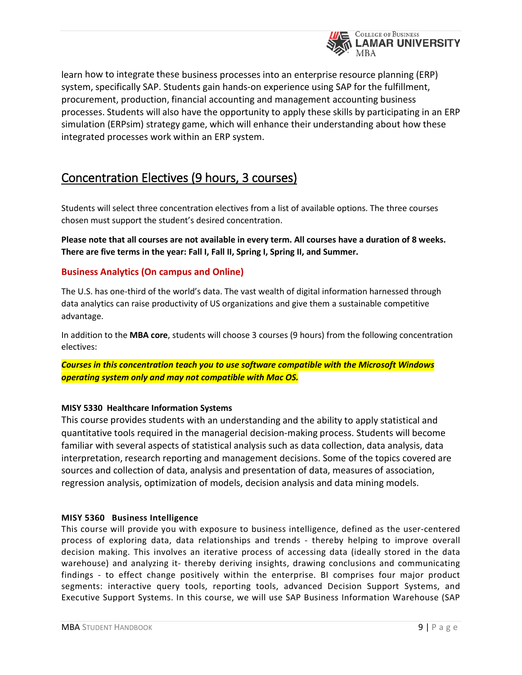

learn how to integrate these business processes into an enterprise resource planning (ERP) system, specifically SAP. Students gain hands-on experience using SAP for the fulfillment, procurement, production, financial accounting and management accounting business processes. Students will also have the opportunity to apply these skills by participating in an ERP simulation (ERPsim) strategy game, which will enhance their understanding about how these integrated processes work within an ERP system.

# Concentration Electives (9 hours, 3 courses)

Students will select three concentration electives from a list of available options. The three courses chosen must support the student's desired concentration.

**Please note that all courses are not available in every term. All courses have a duration of 8 weeks. There are five terms in the year: Fall I, Fall II, Spring I, Spring II, and Summer.** 

# **Business Analytics (On campus and Online)**

The U.S. has one-third of the world's data. The vast wealth of digital information harnessed through data analytics can raise productivity of US organizations and give them a sustainable competitive advantage.

In addition to the **[MBA core](http://business.lamar.edu/academic-programs/lamar-mba/concentrations/index.html)**, students will choose 3 courses (9 hours) from the following concentration electives:

*Courses in this concentration teach you to use software compatible with the Microsoft Windows operating system only and may not compatible with Mac OS.*

#### **MISY 5330 Healthcare Information Systems**

This course provides students with an understanding and the ability to apply statistical and quantitative tools required in the managerial decision-making process. Students will become familiar with several aspects of statistical analysis such as data collection, data analysis, data interpretation, research reporting and management decisions. Some of the topics covered are sources and collection of data, analysis and presentation of data, measures of association, regression analysis, optimization of models, decision analysis and data mining models.

#### **MISY 5360 Business Intelligence**

This course will provide you with exposure to business intelligence, defined as the user-centered process of exploring data, data relationships and trends - thereby helping to improve overall decision making. This involves an iterative process of accessing data (ideally stored in the data warehouse) and analyzing it- thereby deriving insights, drawing conclusions and communicating findings - to effect change positively within the enterprise. BI comprises four major product segments: interactive query tools, reporting tools, advanced Decision Support Systems, and Executive Support Systems. In this course, we will use SAP Business Information Warehouse (SAP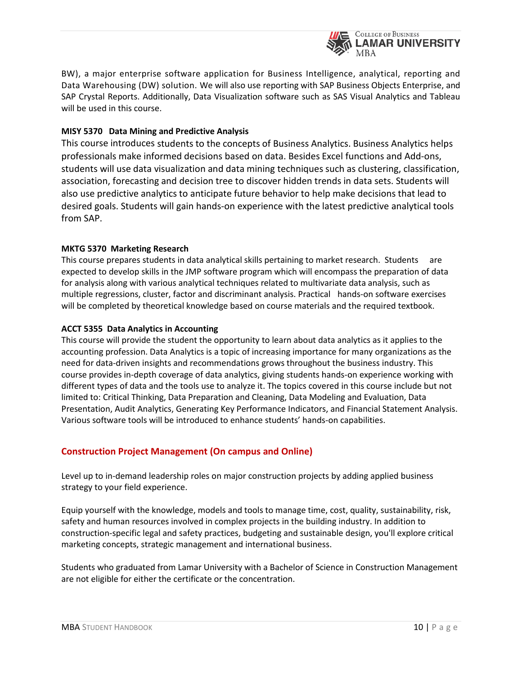

BW), a major enterprise software application for Business Intelligence, analytical, reporting and Data Warehousing (DW) solution. We will also use reporting with SAP Business Objects Enterprise, and SAP Crystal Reports. Additionally, Data Visualization software such as SAS Visual Analytics and Tableau will be used in this course.

#### **MISY 5370 Data Mining and Predictive Analysis**

This course introduces students to the concepts of Business Analytics. Business Analytics helps professionals make informed decisions based on data. Besides Excel functions and Add-ons, students will use data visualization and data mining techniques such as clustering, classification, association, forecasting and decision tree to discover hidden trends in data sets. Students will also use predictive analytics to anticipate future behavior to help make decisions that lead to desired goals. Students will gain hands-on experience with the latest predictive analytical tools from SAP.

#### **MKTG 5370 Marketing Research**

This course prepares students in data analytical skills pertaining to market research. Students are expected to develop skills in the JMP software program which will encompass the preparation of data for analysis along with various analytical techniques related to multivariate data analysis, such as multiple regressions, cluster, factor and discriminant analysis. Practical hands-on software exercises will be completed by theoretical knowledge based on course materials and the required textbook.

#### **ACCT 5355 Data Analytics in Accounting**

This course will provide the student the opportunity to learn about data analytics as it applies to the accounting profession. Data Analytics is a topic of increasing importance for many organizations as the need for data-driven insights and recommendations grows throughout the business industry. This course provides in-depth coverage of data analytics, giving students hands-on experience working with different types of data and the tools use to analyze it. The topics covered in this course include but not limited to: Critical Thinking, Data Preparation and Cleaning, Data Modeling and Evaluation, Data Presentation, Audit Analytics, Generating Key Performance Indicators, and Financial Statement Analysis. Various software tools will be introduced to enhance students' hands-on capabilities.

# **Construction Project Management (On campus and Online)**

Level up to in-demand leadership roles on major construction projects by adding applied business strategy to your field experience.

Equip yourself with the knowledge, models and tools to manage time, cost, quality, sustainability, risk, safety and human resources involved in complex projects in the building industry. In addition to construction-specific legal and safety practices, budgeting and sustainable design, you'll explore critical marketing concepts, strategic management and international business.

Students who graduated from Lamar University with a Bachelor of Science in Construction Management are not eligible for either the certificate or the concentration.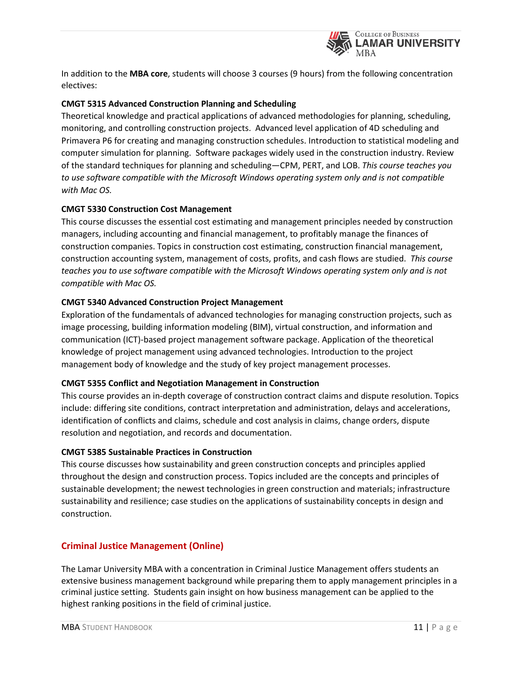

In addition to the **[MBA core](http://business.lamar.edu/academic-programs/lamar-mba/concentrations/index.html)**, students will choose 3 courses (9 hours) from the following concentration electives:

#### **CMGT 5315 Advanced Construction Planning and Scheduling**

Theoretical knowledge and practical applications of advanced methodologies for planning, scheduling, monitoring, and controlling construction projects. Advanced level application of 4D scheduling and Primavera P6 for creating and managing construction schedules. Introduction to statistical modeling and computer simulation for planning. Software packages widely used in the construction industry. Review of the standard techniques for planning and scheduling—CPM, PERT, and LOB. *This course teaches you to use software compatible with the Microsoft Windows operating system only and is not compatible with Mac OS.*

#### **CMGT 5330 Construction Cost Management**

This course discusses the essential cost estimating and management principles needed by construction managers, including accounting and financial management, to profitably manage the finances of construction companies. Topics in construction cost estimating, construction financial management, construction accounting system, management of costs, profits, and cash flows are studied. *This course teaches you to use software compatible with the Microsoft Windows operating system only and is not compatible with Mac OS.*

#### **CMGT 5340 Advanced Construction Project Management**

Exploration of the fundamentals of advanced technologies for managing construction projects, such as image processing, building information modeling (BIM), virtual construction, and information and communication (ICT)-based project management software package. Application of the theoretical knowledge of project management using advanced technologies. Introduction to the project management body of knowledge and the study of key project management processes.

#### **CMGT 5355 Conflict and Negotiation Management in Construction**

This course provides an in-depth coverage of construction contract claims and dispute resolution. Topics include: differing site conditions, contract interpretation and administration, delays and accelerations, identification of conflicts and claims, schedule and cost analysis in claims, change orders, dispute resolution and negotiation, and records and documentation.

#### **CMGT 5385 Sustainable Practices in Construction**

This course discusses how sustainability and green construction concepts and principles applied throughout the design and construction process. Topics included are the concepts and principles of sustainable development; the newest technologies in green construction and materials; infrastructure sustainability and resilience; case studies on the applications of sustainability concepts in design and construction.

# **Criminal Justice Management (Online)**

The Lamar University MBA with a concentration in Criminal Justice Management offers students an extensive business management background while preparing them to apply management principles in a criminal justice setting. Students gain insight on how business management can be applied to the highest ranking positions in the field of criminal justice.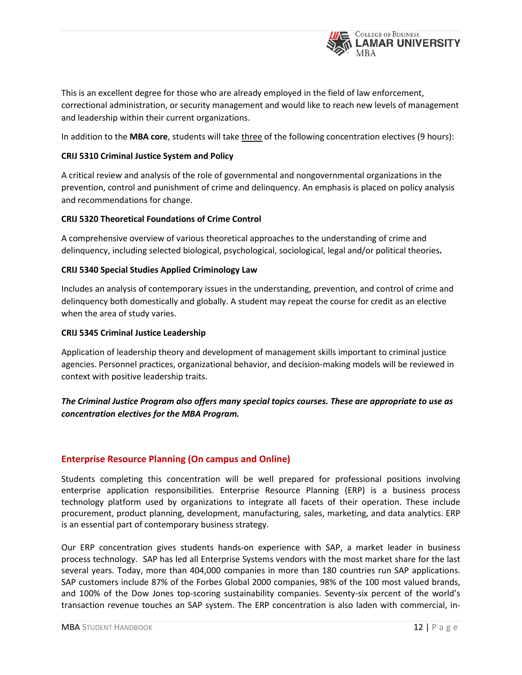

This is an excellent degree for those who are already employed in the field of law enforcement, correctional administration, or security management and would like to reach new levels of management and leadership within their current organizations.

In addition to the **[MBA core](http://business.lamar.edu/academic-programs/lamar-mba/concentrations/index.html)**, students will take three of the following concentration electives (9 hours):

#### **CRIJ 5310 Criminal Justice System and Policy**

A critical review and analysis of the role of governmental and nongovernmental organizations in the prevention, control and punishment of crime and delinquency. An emphasis is placed on policy analysis and recommendations for change.

#### **CRIJ 5320 Theoretical Foundations of Crime Control**

A comprehensive overview of various theoretical approaches to the understanding of crime and delinquency, including selected biological, psychological, sociological, legal and/or political theories**.**

#### **CRIJ 5340 Special Studies Applied Criminology Law**

Includes an analysis of contemporary issues in the understanding, prevention, and control of crime and delinquency both domestically and globally. A student may repeat the course for credit as an elective when the area of study varies.

#### **CRIJ 5345 Criminal Justice Leadership**

Application of leadership theory and development of management skills important to criminal justice agencies. Personnel practices, organizational behavior, and decision-making models will be reviewed in context with positive leadership traits.

# *The Criminal Justice Program also offers many special topics courses. These are appropriate to use as concentration electives for the MBA Program.*

# **Enterprise Resource Planning (On campus and Online)**

Students completing this concentration will be well prepared for professional positions involving enterprise application responsibilities. Enterprise Resource Planning (ERP) is a business process technology platform used by organizations to integrate all facets of their operation. These include procurement, product planning, development, manufacturing, sales, marketing, and data analytics. ERP is an essential part of contemporary business strategy.

Our ERP concentration gives students hands-on experience with SAP, a market leader in business process technology. SAP has led all Enterprise Systems vendors with the most market share for the last several years. Today, more than 404,000 companies in more than 180 countries run SAP applications. SAP customers include 87% of the Forbes Global 2000 companies, 98% of the 100 most valued brands, and 100% of the Dow Jones top-scoring sustainability companies. Seventy-six percent of the world's transaction revenue touches an SAP system. The ERP concentration is also laden with commercial, in-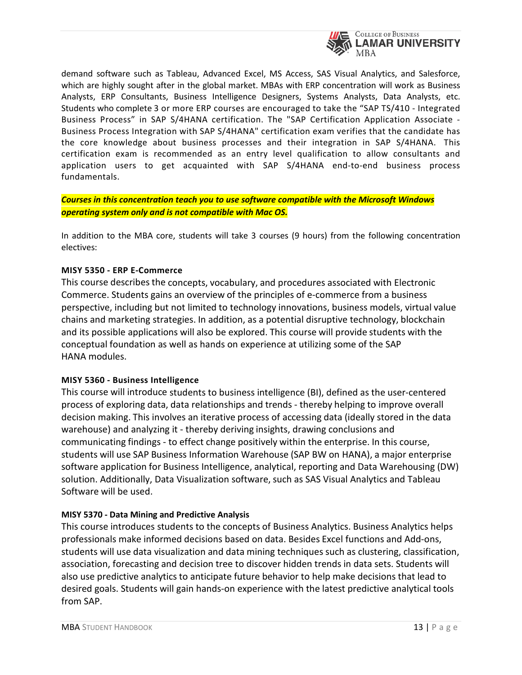

demand software such as Tableau, Advanced Excel, MS Access, SAS Visual Analytics, and Salesforce, which are highly sought after in the global market. MBAs with ERP concentration will work as Business Analysts, ERP Consultants, Business Intelligence Designers, Systems Analysts, Data Analysts, etc. Students who complete 3 or more ERP courses are encouraged to take the "SAP TS/410 - Integrated Business Process" in SAP S/4HANA certification. The "SAP Certification Application Associate - Business Process Integration with SAP S/4HANA" certification exam verifies that the candidate has the core knowledge about business processes and their integration in SAP S/4HANA. This certification exam is recommended as an entry level qualification to allow consultants and application users to get acquainted with SAP S/4HANA end-to-end business process fundamentals.

*Courses in this concentration teach you to use software compatible with the Microsoft Windows operating system only and is not compatible with Mac OS.*

In addition to the MBA core, students will take 3 courses (9 hours) from the following concentration electives:

#### **MISY 5350 - ERP E-Commerce**

This course describesthe concepts, vocabulary, and procedures associated with Electronic Commerce. Students gains an overview of the principles of e-commerce from a business perspective, including but not limited to technology innovations, business models, virtual value chains and marketing strategies. In addition, as a potential disruptive technology, blockchain and its possible applications will also be explored. This course will provide students with the conceptual foundation as well as hands on experience at utilizing some of the SAP HANA modules.

#### **MISY 5360 - Business Intelligence**

This course will introduce students to business intelligence (BI), defined as the user-centered process of exploring data, data relationships and trends - thereby helping to improve overall decision making. This involves an iterative process of accessing data (ideally stored in the data warehouse) and analyzing it - thereby deriving insights, drawing conclusions and communicating findings - to effect change positively within the enterprise. In this course, students will use SAP Business Information Warehouse (SAP BW on HANA), a major enterprise software application for Business Intelligence, analytical, reporting and Data Warehousing (DW) solution. Additionally, Data Visualization software, such as SAS Visual Analytics and Tableau Software will be used.

#### **MISY 5370 - Data Mining and Predictive Analysis**

This course introduces students to the concepts of Business Analytics. Business Analytics helps professionals make informed decisions based on data. Besides Excel functions and Add-ons, students will use data visualization and data mining techniques such as clustering, classification, association, forecasting and decision tree to discover hidden trends in data sets. Students will also use predictive analytics to anticipate future behavior to help make decisions that lead to desired goals. Students will gain hands-on experience with the latest predictive analytical tools from SAP.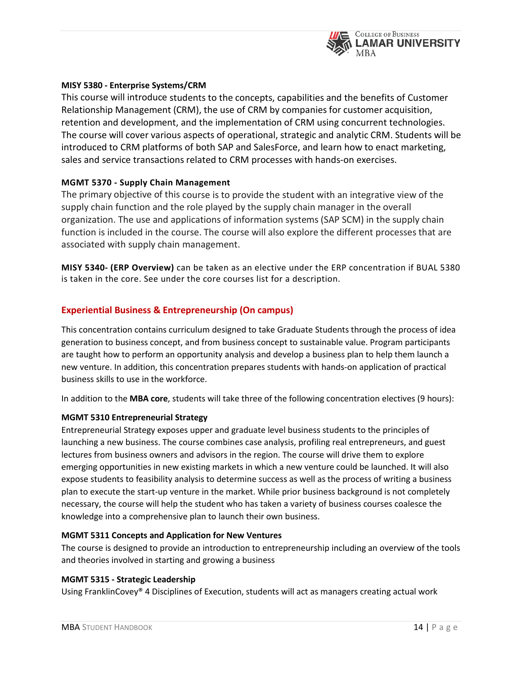

#### **MISY 5380 - Enterprise Systems/CRM**

This course will introduce students to the concepts, capabilities and the benefits of Customer Relationship Management (CRM), the use of CRM by companies for customer acquisition, retention and development, and the implementation of CRM using concurrent technologies. The course will cover various aspects of operational, strategic and analytic CRM. Students will be introduced to CRM platforms of both SAP and SalesForce, and learn how to enact marketing, sales and service transactions related to CRM processes with hands-on exercises.

#### **MGMT 5370 - Supply Chain Management**

The primary objective of this course is to provide the student with an integrative view of the supply chain function and the role played by the supply chain manager in the overall organization. The use and applications of information systems (SAP SCM) in the supply chain function is included in the course. The course will also explore the different processes that are associated with supply chain management.

**MISY 5340- (ERP Overview)** can be taken as an elective under the ERP concentration if BUAL 5380 is taken in the core. See under the core courses list for a description.

#### **Experiential Business & Entrepreneurship (On campus)**

This concentration contains curriculum designed to take Graduate Students through the process of idea generation to business concept, and from business concept to sustainable value. Program participants are taught how to perform an opportunity analysis and develop a business plan to help them launch a new venture. In addition, this concentration prepares students with hands-on application of practical business skills to use in the workforce.

In addition to the **[MBA core](http://business.lamar.edu/academic-programs/lamar-mba/concentrations/index.html)**, students will take three of the following concentration electives (9 hours):

#### **MGMT 5310 Entrepreneurial Strategy**

Entrepreneurial Strategy exposes upper and graduate level business students to the principles of launching a new business. The course combines case analysis, profiling real entrepreneurs, and guest lectures from business owners and advisors in the region. The course will drive them to explore emerging opportunities in new existing markets in which a new venture could be launched. It will also expose students to feasibility analysis to determine success as well as the process of writing a business plan to execute the start-up venture in the market. While prior business background is not completely necessary, the course will help the student who has taken a variety of business courses coalesce the knowledge into a comprehensive plan to launch their own business.

#### **MGMT 5311 Concepts and Application for New Ventures**

The course is designed to provide an introduction to entrepreneurship including an overview of the tools and theories involved in starting and growing a business

#### **MGMT 5315 - Strategic Leadership**

Using FranklinCovey® 4 Disciplines of Execution, students will act as managers creating actual work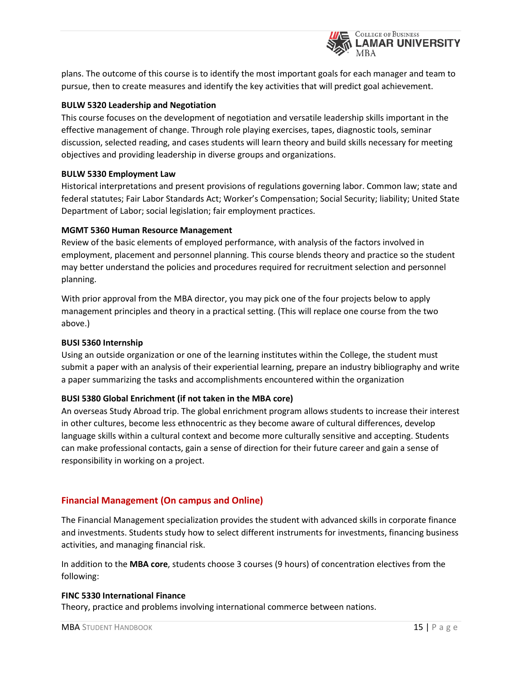

plans. The outcome of this course is to identify the most important goals for each manager and team to pursue, then to create measures and identify the key activities that will predict goal achievement.

#### **BULW 5320 Leadership and Negotiation**

This course focuses on the development of negotiation and versatile leadership skills important in the effective management of change. Through role playing exercises, tapes, diagnostic tools, seminar discussion, selected reading, and cases students will learn theory and build skills necessary for meeting objectives and providing leadership in diverse groups and organizations.

#### **BULW 5330 Employment Law**

Historical interpretations and present provisions of regulations governing labor. Common law; state and federal statutes; Fair Labor Standards Act; Worker's Compensation; Social Security; liability; United State Department of Labor; social legislation; fair employment practices.

#### **MGMT 5360 Human Resource Management**

Review of the basic elements of employed performance, with analysis of the factors involved in employment, placement and personnel planning. This course blends theory and practice so the student may better understand the policies and procedures required for recruitment selection and personnel planning.

With prior approval from the MBA director, you may pick one of the four projects below to apply management principles and theory in a practical setting. (This will replace one course from the two above.)

#### **BUSI 5360 Internship**

Using an outside organization or one of the learning institutes within the College, the student must submit a paper with an analysis of their experiential learning, prepare an industry bibliography and write a paper summarizing the tasks and accomplishments encountered within the organization

# **BUSI 5380 Global Enrichment (if not taken in the MBA core)**

An overseas Study Abroad trip. The global enrichment program allows students to increase their interest in other cultures, become less ethnocentric as they become aware of cultural differences, develop language skills within a cultural context and become more culturally sensitive and accepting. Students can make professional contacts, gain a sense of direction for their future career and gain a sense of responsibility in working on a project.

# **Financial Management (On campus and Online)**

The Financial Management specialization provides the student with advanced skills in corporate finance and investments. Students study how to select different instruments for investments, financing business activities, and managing financial risk.

In addition to the **[MBA core](http://business.lamar.edu/academic-programs/lamar-mba/concentrations/index.html)**, students choose 3 courses (9 hours) of concentration electives from the following:

#### **FINC 5330 International Finance**

Theory, practice and problems involving international commerce between nations.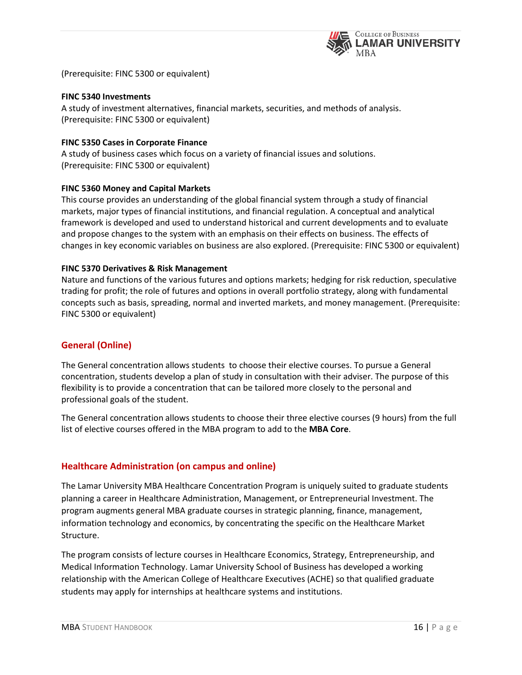

(Prerequisite: FINC 5300 or equivalent)

#### **FINC 5340 Investments**

A study of investment alternatives, financial markets, securities, and methods of analysis. (Prerequisite: FINC 5300 or equivalent)

#### **FINC 5350 Cases in Corporate Finance**

A study of business cases which focus on a variety of financial issues and solutions. (Prerequisite: FINC 5300 or equivalent)

#### **FINC 5360 Money and Capital Markets**

This course provides an understanding of the global financial system through a study of financial markets, major types of financial institutions, and financial regulation. A conceptual and analytical framework is developed and used to understand historical and current developments and to evaluate and propose changes to the system with an emphasis on their effects on business. The effects of changes in key economic variables on business are also explored. (Prerequisite: FINC 5300 or equivalent)

#### **FINC 5370 Derivatives & Risk Management**

Nature and functions of the various futures and options markets; hedging for risk reduction, speculative trading for profit; the role of futures and options in overall portfolio strategy, along with fundamental concepts such as basis, spreading, normal and inverted markets, and money management. (Prerequisite: FINC 5300 or equivalent)

#### **General (Online)**

The General concentration allows students to choose their elective courses. To pursue a General concentration, students develop a plan of study in consultation with their adviser. The purpose of this flexibility is to provide a concentration that can be tailored more closely to the personal and professional goals of the student.

The General concentration allows students to choose their three elective courses (9 hours) from the full list of elective courses offered in the MBA program to add to the **[MBA Core](http://business.lamar.edu/academic-programs/lamar-mba/concentrations/index.html)**.

# **Healthcare Administration (on campus and online)**

The Lamar University MBA Healthcare Concentration Program is uniquely suited to graduate students planning a career in Healthcare Administration, Management, or Entrepreneurial Investment. The program augments general MBA graduate courses in strategic planning, finance, management, information technology and economics, by concentrating the specific on the Healthcare Market Structure.

The program consists of lecture courses in Healthcare Economics, Strategy, Entrepreneurship, and Medical Information Technology. Lamar University School of Business has developed a working relationship with the American College of Healthcare Executives (ACHE) so that qualified graduate students may apply for internships at healthcare systems and institutions.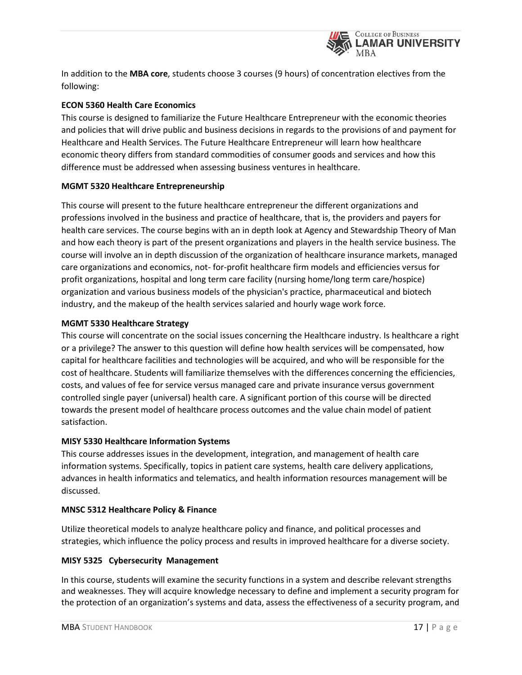

In addition to the **[MBA core](http://business.lamar.edu/academic-programs/lamar-mba/concentrations/index.html)**, students choose 3 courses (9 hours) of concentration electives from the following:

### **ECON 5360 Health Care Economics**

This course is designed to familiarize the Future Healthcare Entrepreneur with the economic theories and policies that will drive public and business decisions in regards to the provisions of and payment for Healthcare and Health Services. The Future Healthcare Entrepreneur will learn how healthcare economic theory differs from standard commodities of consumer goods and services and how this difference must be addressed when assessing business ventures in healthcare.

#### **MGMT 5320 Healthcare Entrepreneurship**

This course will present to the future healthcare entrepreneur the different organizations and professions involved in the business and practice of healthcare, that is, the providers and payers for health care services. The course begins with an in depth look at Agency and Stewardship Theory of Man and how each theory is part of the present organizations and players in the health service business. The course will involve an in depth discussion of the organization of healthcare insurance markets, managed care organizations and economics, not- for-profit healthcare firm models and efficiencies versus for profit organizations, hospital and long term care facility (nursing home/long term care/hospice) organization and various business models of the physician's practice, pharmaceutical and biotech industry, and the makeup of the health services salaried and hourly wage work force.

#### **MGMT 5330 Healthcare Strategy**

This course will concentrate on the social issues concerning the Healthcare industry. Is healthcare a right or a privilege? The answer to this question will define how health services will be compensated, how capital for healthcare facilities and technologies will be acquired, and who will be responsible for the cost of healthcare. Students will familiarize themselves with the differences concerning the efficiencies, costs, and values of fee for service versus managed care and private insurance versus government controlled single payer (universal) health care. A significant portion of this course will be directed towards the present model of healthcare process outcomes and the value chain model of patient satisfaction.

#### **MISY 5330 Healthcare Information Systems**

This course addresses issues in the development, integration, and management of health care information systems. Specifically, topics in patient care systems, health care delivery applications, advances in health informatics and telematics, and health information resources management will be discussed.

#### **MNSC 5312 Healthcare Policy & Finance**

Utilize theoretical models to analyze healthcare policy and finance, and political processes and strategies, which influence the policy process and results in improved healthcare for a diverse society.

#### **MISY 5325 Cybersecurity Management**

In this course, students will examine the security functions in a system and describe relevant strengths and weaknesses. They will acquire knowledge necessary to define and implement a security program for the protection of an organization's systems and data, assess the effectiveness of a security program, and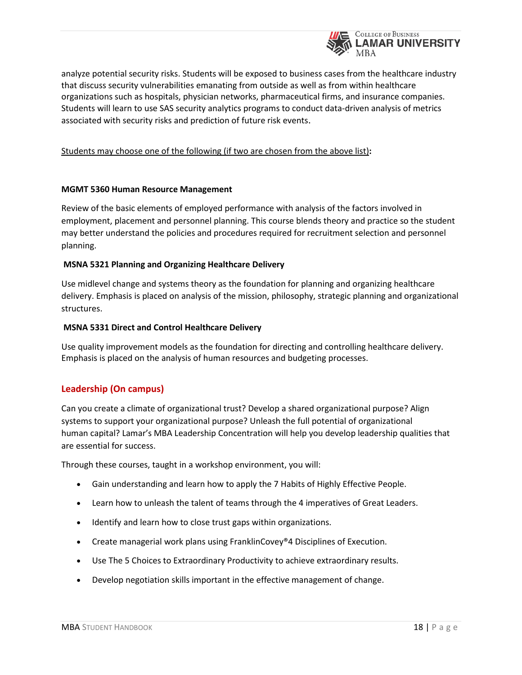

analyze potential security risks. Students will be exposed to business cases from the healthcare industry that discuss security vulnerabilities emanating from outside as well as from within healthcare organizations such as hospitals, physician networks, pharmaceutical firms, and insurance companies. Students will learn to use SAS security analytics programs to conduct data-driven analysis of metrics associated with security risks and prediction of future risk events.

Students may choose one of the following (if two are chosen from the above list)**:**

#### **MGMT 5360 Human Resource Management**

Review of the basic elements of employed performance with analysis of the factors involved in employment, placement and personnel planning. This course blends theory and practice so the student may better understand the policies and procedures required for recruitment selection and personnel planning.

#### **MSNA 5321 Planning and Organizing Healthcare Delivery**

Use midlevel change and systems theory as the foundation for planning and organizing healthcare delivery. Emphasis is placed on analysis of the mission, philosophy, strategic planning and organizational structures.

#### **MSNA 5331 Direct and Control Healthcare Delivery**

Use quality improvement models as the foundation for directing and controlling healthcare delivery. Emphasis is placed on the analysis of human resources and budgeting processes.

# **Leadership (On campus)**

Can you create a climate of organizational trust? Develop a shared organizational purpose? Align systems to support your organizational purpose? Unleash the full potential of organizational human capital? Lamar's MBA Leadership Concentration will help you develop leadership qualities that are essential for success.

Through these courses, taught in a workshop environment, you will:

- Gain understanding and learn how to apply the 7 Habits of Highly Effective People.
- Learn how to unleash the talent of teams through the 4 imperatives of Great Leaders.
- Identify and learn how to close trust gaps within organizations.
- Create managerial work plans using FranklinCovey®4 Disciplines of Execution.
- Use The 5 Choices to Extraordinary Productivity to achieve extraordinary results.
- Develop negotiation skills important in the effective management of change.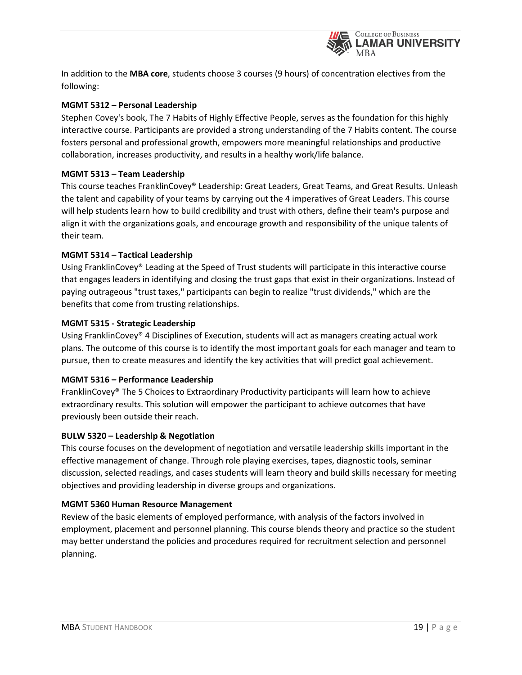

In addition to the **[MBA core](http://business.lamar.edu/academic-programs/lamar-mba/concentrations/index.html)**, students choose 3 courses (9 hours) of concentration electives from the following:

### **MGMT 5312 – Personal Leadership**

Stephen Covey's book, The 7 Habits of Highly Effective People, serves as the foundation for this highly interactive course. Participants are provided a strong understanding of the 7 Habits content. The course fosters personal and professional growth, empowers more meaningful relationships and productive collaboration, increases productivity, and results in a healthy work/life balance.

#### **MGMT 5313 – Team Leadership**

This course teaches FranklinCovey® Leadership: Great Leaders, Great Teams, and Great Results. Unleash the talent and capability of your teams by carrying out the 4 imperatives of Great Leaders. This course will help students learn how to build credibility and trust with others, define their team's purpose and align it with the organizations goals, and encourage growth and responsibility of the unique talents of their team.

#### **MGMT 5314 – Tactical Leadership**

Using FranklinCovey® Leading at the Speed of Trust students will participate in this interactive course that engages leaders in identifying and closing the trust gaps that exist in their organizations. Instead of paying outrageous "trust taxes," participants can begin to realize "trust dividends," which are the benefits that come from trusting relationships.

#### **MGMT 5315 - Strategic Leadership**

Using FranklinCovey® 4 Disciplines of Execution, students will act as managers creating actual work plans. The outcome of this course is to identify the most important goals for each manager and team to pursue, then to create measures and identify the key activities that will predict goal achievement.

#### **MGMT 5316 – Performance Leadership**

FranklinCovey® The 5 Choices to Extraordinary Productivity participants will learn how to achieve extraordinary results. This solution will empower the participant to achieve outcomes that have previously been outside their reach.

#### **BULW 5320 – Leadership & Negotiation**

This course focuses on the development of negotiation and versatile leadership skills important in the effective management of change. Through role playing exercises, tapes, diagnostic tools, seminar discussion, selected readings, and cases students will learn theory and build skills necessary for meeting objectives and providing leadership in diverse groups and organizations.

#### **MGMT 5360 Human Resource Management**

Review of the basic elements of employed performance, with analysis of the factors involved in employment, placement and personnel planning. This course blends theory and practice so the student may better understand the policies and procedures required for recruitment selection and personnel planning.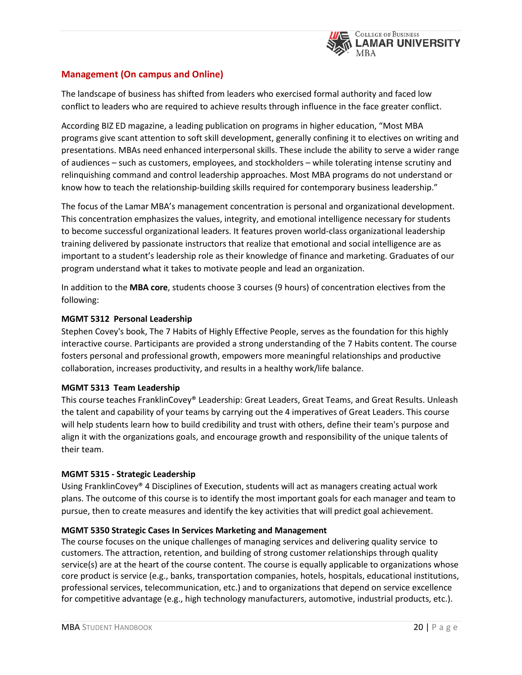

# **Management (On campus and Online)**

The landscape of business has shifted from leaders who exercised formal authority and faced low conflict to leaders who are required to achieve results through influence in the face greater conflict.

According BIZ ED magazine, a leading publication on programs in higher education, "Most MBA programs give scant attention to soft skill development, generally confining it to electives on writing and presentations. MBAs need enhanced interpersonal skills. These include the ability to serve a wider range of audiences – such as customers, employees, and stockholders – while tolerating intense scrutiny and relinquishing command and control leadership approaches. Most MBA programs do not understand or know how to teach the relationship-building skills required for contemporary business leadership."

The focus of the Lamar MBA's management concentration is personal and organizational development. This concentration emphasizes the values, integrity, and emotional intelligence necessary for students to become successful organizational leaders. It features proven world-class organizational leadership training delivered by passionate instructors that realize that emotional and social intelligence are as important to a student's leadership role as their knowledge of finance and marketing. Graduates of our program understand what it takes to motivate people and lead an organization.

In addition to the **[MBA core](http://business.lamar.edu/academic-programs/lamar-mba/concentrations/index.html)**, students choose 3 courses (9 hours) of concentration electives from the following:

#### **MGMT 5312 Personal Leadership**

Stephen Covey's book, The 7 Habits of Highly Effective People, serves as the foundation for this highly interactive course. Participants are provided a strong understanding of the 7 Habits content. The course fosters personal and professional growth, empowers more meaningful relationships and productive collaboration, increases productivity, and results in a healthy work/life balance.

#### **MGMT 5313 Team Leadership**

This course teaches FranklinCovey® Leadership: Great Leaders, Great Teams, and Great Results. Unleash the talent and capability of your teams by carrying out the 4 imperatives of Great Leaders. This course will help students learn how to build credibility and trust with others, define their team's purpose and align it with the organizations goals, and encourage growth and responsibility of the unique talents of their team.

#### **MGMT 5315 - Strategic Leadership**

Using FranklinCovey® 4 Disciplines of Execution, students will act as managers creating actual work plans. The outcome of this course is to identify the most important goals for each manager and team to pursue, then to create measures and identify the key activities that will predict goal achievement.

#### **MGMT 5350 Strategic Cases In Services Marketing and Management**

The course focuses on the unique challenges of managing services and delivering quality service to customers. The attraction, retention, and building of strong customer relationships through quality service(s) are at the heart of the course content. The course is equally applicable to organizations whose core product is service (e.g., banks, transportation companies, hotels, hospitals, educational institutions, professional services, telecommunication, etc.) and to organizations that depend on service excellence for competitive advantage (e.g., high technology manufacturers, automotive, industrial products, etc.).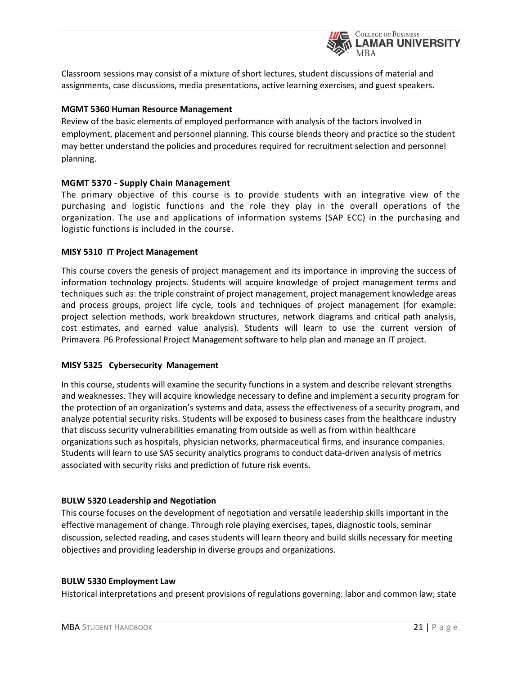

Classroom sessions may consist of a mixture of short lectures, student discussions of material and assignments, case discussions, media presentations, active learning exercises, and guest speakers.

#### **MGMT 5360 Human Resource Management**

Review of the basic elements of employed performance with analysis of the factors involved in employment, placement and personnel planning. This course blends theory and practice so the student may better understand the policies and procedures required for recruitment selection and personnel planning.

#### **MGMT 5370 - Supply Chain Management**

The primary objective of this course is to provide students with an integrative view of the purchasing and logistic functions and the role they play in the overall operations of the organization. The use and applications of information systems (SAP ECC) in the purchasing and logistic functions is included in the course.

#### **MISY 5310 IT Project Management**

This course covers the genesis of project management and its importance in improving the success of information technology projects. Students will acquire knowledge of project management terms and techniques such as: the triple constraint of project management, project management knowledge areas and process groups, project life cycle, tools and techniques of project management (for example: project selection methods, work breakdown structures, network diagrams and critical path analysis, cost estimates, and earned value analysis). Students will learn to use the current version of Primavera P6 Professional Project Management software to help plan and manage an IT project.

#### **MISY 5325 Cybersecurity Management**

In this course, students will examine the security functions in a system and describe relevant strengths and weaknesses. They will acquire knowledge necessary to define and implement a security program for the protection of an organization's systems and data, assess the effectiveness of a security program, and analyze potential security risks. Students will be exposed to business cases from the healthcare industry that discuss security vulnerabilities emanating from outside as well as from within healthcare organizations such as hospitals, physician networks, pharmaceutical firms, and insurance companies. Students will learn to use SAS security analytics programs to conduct data-driven analysis of metrics associated with security risks and prediction of future risk events.

#### **BULW 5320 Leadership and Negotiation**

This course focuses on the development of negotiation and versatile leadership skills important in the effective management of change. Through role playing exercises, tapes, diagnostic tools, seminar discussion, selected reading, and cases students will learn theory and build skills necessary for meeting objectives and providing leadership in diverse groups and organizations.

#### **BULW 5330 Employment Law**

Historical interpretations and present provisions of regulations governing: labor and common law; state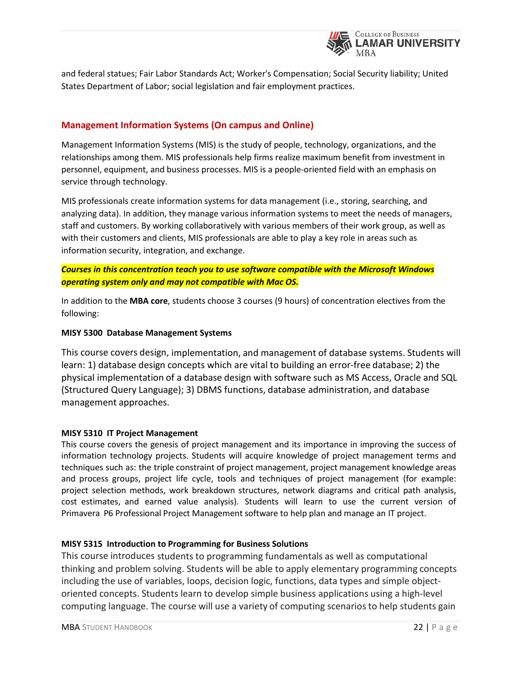

and federal statues; Fair Labor Standards Act; Worker's Compensation; Social Security liability; United States Department of Labor; social legislation and fair employment practices.

# **Management Information Systems (On campus and Online)**

Management Information Systems (MIS) is the study of people, technology, organizations, and the relationships among them. MIS professionals help firms realize maximum benefit from investment in personnel, equipment, and business processes. MIS is a people-oriented field with an emphasis on service through technology.

MIS professionals create information systems for data management (i.e., storing, searching, and analyzing data). In addition, they manage various information systems to meet the needs of managers, staff and customers. By working collaboratively with various members of their work group, as well as with their customers and clients, MIS professionals are able to play a key role in areas such as information security, integration, and exchange.

*Courses in this concentration teach you to use software compatible with the Microsoft Windows operating system only and may not compatible with Mac OS.*

In addition to the **[MBA core](http://business.lamar.edu/academic-programs/lamar-mba/concentrations/index.html)**, students choose 3 courses (9 hours) of concentration electives from the following:

#### **MISY 5300 Database Management Systems**

This course covers design, implementation, and management of database systems. Students will learn: 1) database design concepts which are vital to building an error-free database; 2) the physical implementation of a database design with software such as MS Access, Oracle and SQL (Structured Query Language); 3) DBMS functions, database administration, and database management approaches.

#### **MISY 5310 IT Project Management**

This course covers the genesis of project management and its importance in improving the success of information technology projects. Students will acquire knowledge of project management terms and techniques such as: the triple constraint of project management, project management knowledge areas and process groups, project life cycle, tools and techniques of project management (for example: project selection methods, work breakdown structures, network diagrams and critical path analysis, cost estimates, and earned value analysis). Students will learn to use the current version of Primavera P6 Professional Project Management software to help plan and manage an IT project.

#### **MISY 5315 Introduction to Programming for Business Solutions**

This course introduces students to programming fundamentals as well as computational thinking and problem solving. Students will be able to apply elementary programming concepts including the use of variables, loops, decision logic, functions, data types and simple objectoriented concepts. Students learn to develop simple business applications using a high-level computing language. The course will use a variety of computing scenarios to help students gain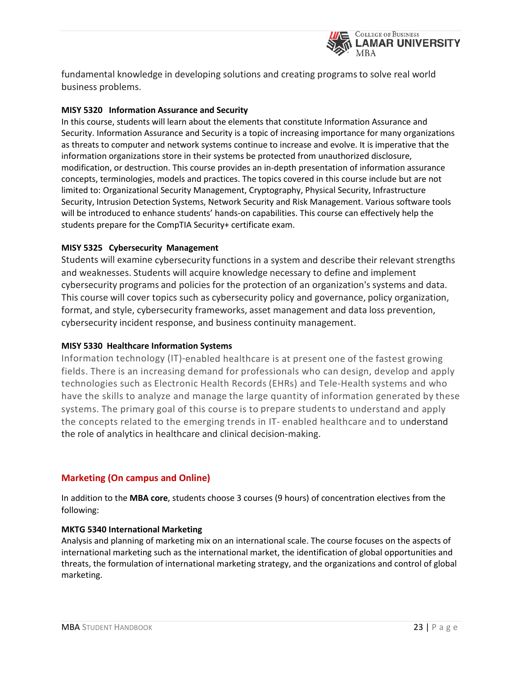

fundamental knowledge in developing solutions and creating programsto solve real world business problems.

#### **MISY 5320 Information Assurance and Security**

In this course, students will learn about the elements that constitute Information Assurance and Security. Information Assurance and Security is a topic of increasing importance for many organizations as threats to computer and network systems continue to increase and evolve. It is imperative that the information organizations store in their systems be protected from unauthorized disclosure, modification, or destruction. This course provides an in-depth presentation of information assurance concepts, terminologies, models and practices. The topics covered in this course include but are not limited to: Organizational Security Management, Cryptography, Physical Security, Infrastructure Security, Intrusion Detection Systems, Network Security and Risk Management. Various software tools will be introduced to enhance students' hands-on capabilities. This course can effectively help the students prepare for the CompTIA Security+ certificate exam.

#### **MISY 5325 Cybersecurity Management**

Students will examine cybersecurity functions in a system and describe their relevant strengths and weaknesses. Students will acquire knowledge necessary to define and implement cybersecurity programs and policies for the protection of an organization's systems and data. This course will cover topics such as cybersecurity policy and governance, policy organization, format, and style, cybersecurity frameworks, asset management and data loss prevention, cybersecurity incident response, and business continuity management.

# **MISY 5330 Healthcare Information Systems**

Information technology (IT)-enabled healthcare is at present one of the fastest growing fields. There is an increasing demand for professionals who can design, develop and apply technologies such as Electronic Health Records (EHRs) and Tele-Health systems and who have the skills to analyze and manage the large quantity of information generated by these systems. The primary goal of this course is to prepare students to understand and apply the concepts related to the emerging trends in IT- enabled healthcare and to understand the role of analytics in healthcare and clinical decision-making.

# **Marketing (On campus and Online)**

In addition to the **[MBA core](http://business.lamar.edu/academic-programs/lamar-mba/concentrations/index.html)**, students choose 3 courses (9 hours) of concentration electives from the following:

#### **MKTG 5340 International Marketing**

Analysis and planning of marketing mix on an international scale. The course focuses on the aspects of international marketing such as the international market, the identification of global opportunities and threats, the formulation of international marketing strategy, and the organizations and control of global marketing.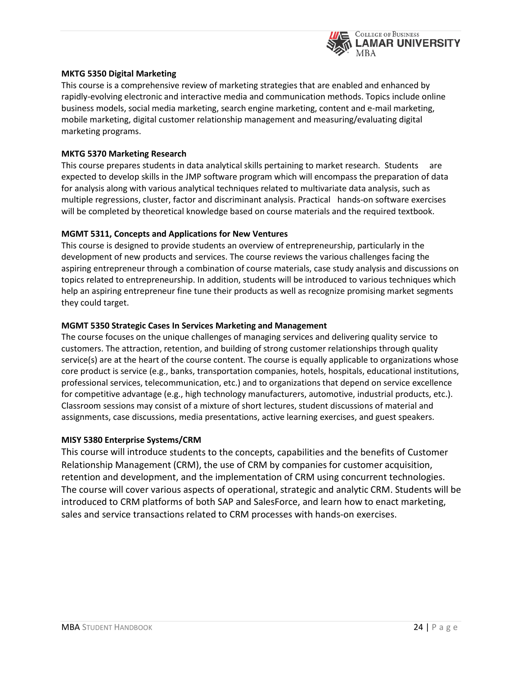

#### **MKTG 5350 Digital Marketing**

This course is a comprehensive review of marketing strategies that are enabled and enhanced by rapidly-evolving electronic and interactive media and communication methods. Topics include online business models, social media marketing, search engine marketing, content and e-mail marketing, mobile marketing, digital customer relationship management and measuring/evaluating digital marketing programs.

#### **MKTG 5370 Marketing Research**

This course prepares students in data analytical skills pertaining to market research. Students are expected to develop skills in the JMP software program which will encompass the preparation of data for analysis along with various analytical techniques related to multivariate data analysis, such as multiple regressions, cluster, factor and discriminant analysis. Practical hands-on software exercises will be completed by theoretical knowledge based on course materials and the required textbook.

#### **MGMT 5311, Concepts and Applications for New Ventures**

This course is designed to provide students an overview of entrepreneurship, particularly in the development of new products and services. The course reviews the various challenges facing the aspiring entrepreneur through a combination of course materials, case study analysis and discussions on topics related to entrepreneurship. In addition, students will be introduced to various techniques which help an aspiring entrepreneur fine tune their products as well as recognize promising market segments they could target.

#### **MGMT 5350 Strategic Cases In Services Marketing and Management**

The course focuses on the unique challenges of managing services and delivering quality service to customers. The attraction, retention, and building of strong customer relationships through quality service(s) are at the heart of the course content. The course is equally applicable to organizations whose core product is service (e.g., banks, transportation companies, hotels, hospitals, educational institutions, professional services, telecommunication, etc.) and to organizations that depend on service excellence for competitive advantage (e.g., high technology manufacturers, automotive, industrial products, etc.). Classroom sessions may consist of a mixture of short lectures, student discussions of material and assignments, case discussions, media presentations, active learning exercises, and guest speakers.

#### **MISY 5380 Enterprise Systems/CRM**

This course will introduce students to the concepts, capabilities and the benefits of Customer Relationship Management (CRM), the use of CRM by companies for customer acquisition, retention and development, and the implementation of CRM using concurrent technologies. The course will cover various aspects of operational, strategic and analytic CRM. Students will be introduced to CRM platforms of both SAP and SalesForce, and learn how to enact marketing, sales and service transactions related to CRM processes with hands-on exercises.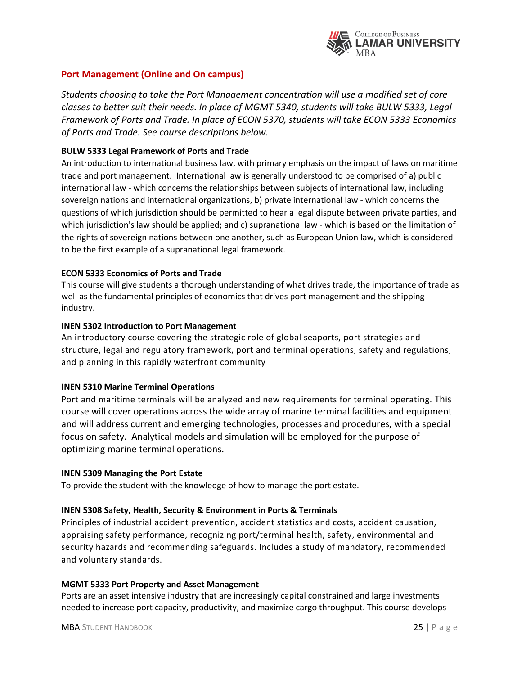

# **Port Management (Online and On campus)**

*Students choosing to take the Port Management concentration will use a modified set of core classes to better suit their needs. In place of MGMT 5340, students will take BULW 5333, Legal Framework of Ports and Trade. In place of ECON 5370, students will take ECON 5333 Economics of Ports and Trade. See course descriptions below.* 

#### **BULW 5333 Legal Framework of Ports and Trade**

An introduction to international business law, with primary emphasis on the impact of laws on maritime trade and port management. International law is generally understood to be comprised of a) public international law - which concerns the relationships between subjects of international law, including sovereign nations and international organizations, b) private international law - which concerns the questions of which jurisdiction should be permitted to hear a legal dispute between private parties, and which jurisdiction's law should be applied; and c) supranational law - which is based on the limitation of the rights of sovereign nations between one another, such as European Union law, which is considered to be the first example of a supranational legal framework.

#### **ECON 5333 Economics of Ports and Trade**

This course will give students a thorough understanding of what drives trade, the importance of trade as well as the fundamental principles of economics that drives port management and the shipping industry.

#### **INEN 5302 Introduction to Port Management**

An introductory course covering the strategic role of global seaports, port strategies and structure, legal and regulatory framework, port and terminal operations, safety and regulations, and planning in this rapidly waterfront community

#### **INEN 5310 Marine Terminal Operations**

Port and maritime terminals will be analyzed and new requirements for terminal operating. This course will cover operations across the wide array of marine terminal facilities and equipment and will address current and emerging technologies, processes and procedures, with a special focus on safety. Analytical models and simulation will be employed for the purpose of optimizing marine terminal operations.

#### **INEN 5309 Managing the Port Estate**

To provide the student with the knowledge of how to manage the port estate.

#### **INEN 5308 Safety, Health, Security & Environment in Ports & Terminals**

Principles of industrial accident prevention, accident statistics and costs, accident causation, appraising safety performance, recognizing port/terminal health, safety, environmental and security hazards and recommending safeguards. Includes a study of mandatory, recommended and voluntary standards.

#### **MGMT 5333 Port Property and Asset Management**

Ports are an asset intensive industry that are increasingly capital constrained and large investments needed to increase port capacity, productivity, and maximize cargo throughput. This course develops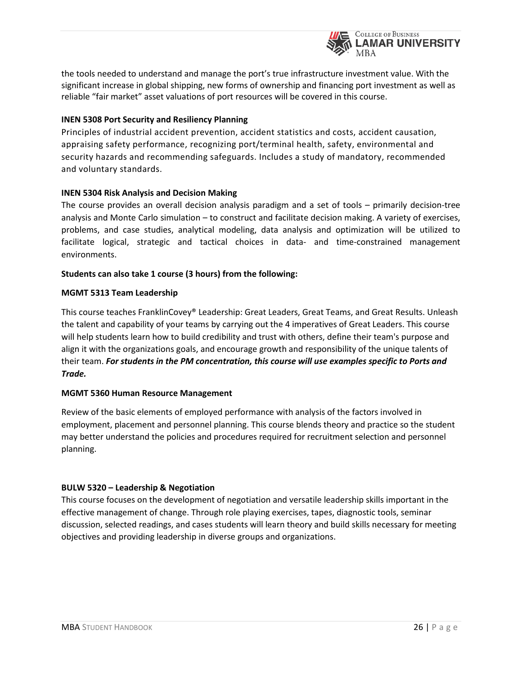

the tools needed to understand and manage the port's true infrastructure investment value. With the significant increase in global shipping, new forms of ownership and financing port investment as well as reliable "fair market" asset valuations of port resources will be covered in this course.

#### **INEN 5308 Port Security and Resiliency Planning**

Principles of industrial accident prevention, accident statistics and costs, accident causation, appraising safety performance, recognizing port/terminal health, safety, environmental and security hazards and recommending safeguards. Includes a study of mandatory, recommended and voluntary standards.

#### **INEN 5304 Risk Analysis and Decision Making**

The course provides an overall decision analysis paradigm and a set of tools – primarily decision-tree analysis and Monte Carlo simulation – to construct and facilitate decision making. A variety of exercises, problems, and case studies, analytical modeling, data analysis and optimization will be utilized to facilitate logical, strategic and tactical choices in data- and time-constrained management environments.

#### **Students can also take 1 course (3 hours) from the following:**

#### **MGMT 5313 Team Leadership**

This course teaches FranklinCovey® Leadership: Great Leaders, Great Teams, and Great Results. Unleash the talent and capability of your teams by carrying out the 4 imperatives of Great Leaders. This course will help students learn how to build credibility and trust with others, define their team's purpose and align it with the organizations goals, and encourage growth and responsibility of the unique talents of their team. *For students in the PM concentration, this course will use examples specific to Ports and Trade.*

#### **MGMT 5360 Human Resource Management**

Review of the basic elements of employed performance with analysis of the factors involved in employment, placement and personnel planning. This course blends theory and practice so the student may better understand the policies and procedures required for recruitment selection and personnel planning.

#### **BULW 5320 – Leadership & Negotiation**

This course focuses on the development of negotiation and versatile leadership skills important in the effective management of change. Through role playing exercises, tapes, diagnostic tools, seminar discussion, selected readings, and cases students will learn theory and build skills necessary for meeting objectives and providing leadership in diverse groups and organizations.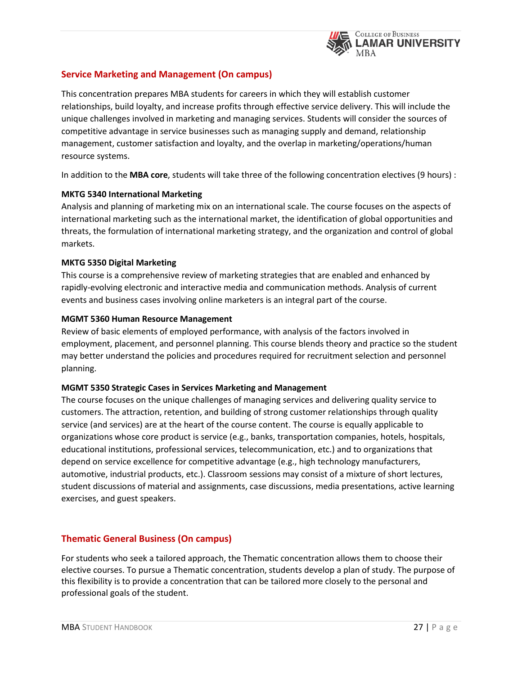

# **Service Marketing and Management (On campus)**

This concentration prepares MBA students for careers in which they will establish customer relationships, build loyalty, and increase profits through effective service delivery. This will include the unique challenges involved in marketing and managing services. Students will consider the sources of competitive advantage in service businesses such as managing supply and demand, relationship management, customer satisfaction and loyalty, and the overlap in marketing/operations/human resource systems.

In addition to the **[MBA core](http://business.lamar.edu/academic-programs/lamar-mba/concentrations/index.html)**, students will take three of the following concentration electives (9 hours) :

#### **MKTG 5340 International Marketing**

Analysis and planning of marketing mix on an international scale. The course focuses on the aspects of international marketing such as the international market, the identification of global opportunities and threats, the formulation of international marketing strategy, and the organization and control of global markets.

#### **MKTG 5350 Digital Marketing**

This course is a comprehensive review of marketing strategies that are enabled and enhanced by rapidly-evolving electronic and interactive media and communication methods. Analysis of current events and business cases involving online marketers is an integral part of the course.

#### **MGMT 5360 Human Resource Management**

Review of basic elements of employed performance, with analysis of the factors involved in employment, placement, and personnel planning. This course blends theory and practice so the student may better understand the policies and procedures required for recruitment selection and personnel planning.

#### **MGMT 5350 Strategic Cases in Services Marketing and Management**

The course focuses on the unique challenges of managing services and delivering quality service to customers. The attraction, retention, and building of strong customer relationships through quality service (and services) are at the heart of the course content. The course is equally applicable to organizations whose core product is service (e.g., banks, transportation companies, hotels, hospitals, educational institutions, professional services, telecommunication, etc.) and to organizations that depend on service excellence for competitive advantage (e.g., high technology manufacturers, automotive, industrial products, etc.). Classroom sessions may consist of a mixture of short lectures, student discussions of material and assignments, case discussions, media presentations, active learning exercises, and guest speakers.

# **Thematic General Business (On campus)**

For students who seek a tailored approach, the Thematic concentration allows them to choose their elective courses. To pursue a Thematic concentration, students develop a plan of study. The purpose of this flexibility is to provide a concentration that can be tailored more closely to the personal and professional goals of the student.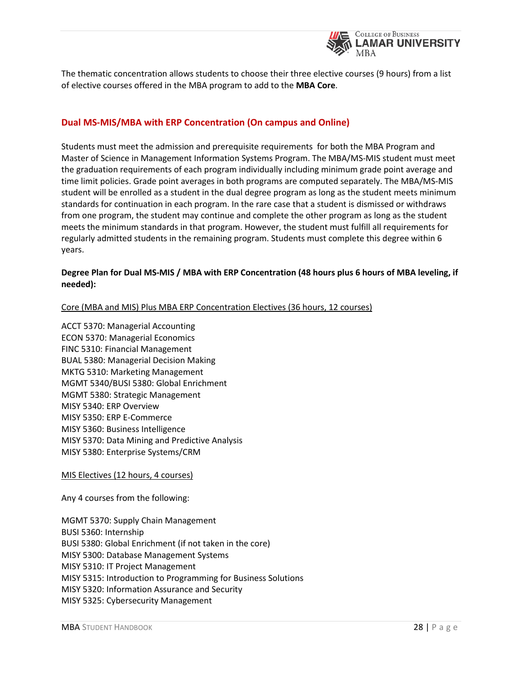

The thematic concentration allows students to choose their three elective courses (9 hours) from a list of elective courses offered in the MBA program to add to the **[MBA Core](http://business.lamar.edu/academic-programs/lamar-mba/concentrations/index.html)**.

### **Dual MS-MIS/MBA with ERP Concentration (On campus and Online)**

Students must meet the admission and prerequisite requirements for both the MBA Program and Master of Science in Management Information Systems Program. The MBA/MS-MIS student must meet the graduation requirements of each program individually including minimum grade point average and time limit policies. Grade point averages in both programs are computed separately. The MBA/MS-MIS student will be enrolled as a student in the dual degree program as long as the student meets minimum standards for continuation in each program. In the rare case that a student is dismissed or withdraws from one program, the student may continue and complete the other program as long as the student meets the minimum standards in that program. However, the student must fulfill all requirements for regularly admitted students in the remaining program. Students must complete this degree within 6 years.

#### **Degree Plan for Dual MS-MIS / MBA with ERP Concentration (48 hours plus 6 hours of MBA leveling, if needed):**

Core (MBA and MIS) Plus MBA ERP Concentration Electives (36 hours, 12 courses)

ACCT 5370: Managerial Accounting ECON 5370: Managerial Economics FINC 5310: Financial Management BUAL 5380: Managerial Decision Making MKTG 5310: Marketing Management MGMT 5340/BUSI 5380: Global Enrichment MGMT 5380: Strategic Management MISY 5340: ERP Overview MISY 5350: ERP E-Commerce MISY 5360: Business Intelligence MISY 5370: Data Mining and Predictive Analysis MISY 5380: Enterprise Systems/CRM

MIS Electives (12 hours, 4 courses)

Any 4 courses from the following:

MGMT 5370: Supply Chain Management BUSI 5360: Internship BUSI 5380: Global Enrichment (if not taken in the core) MISY 5300: Database Management Systems MISY 5310: IT Project Management MISY 5315: Introduction to Programming for Business Solutions MISY 5320: Information Assurance and Security MISY 5325: Cybersecurity Management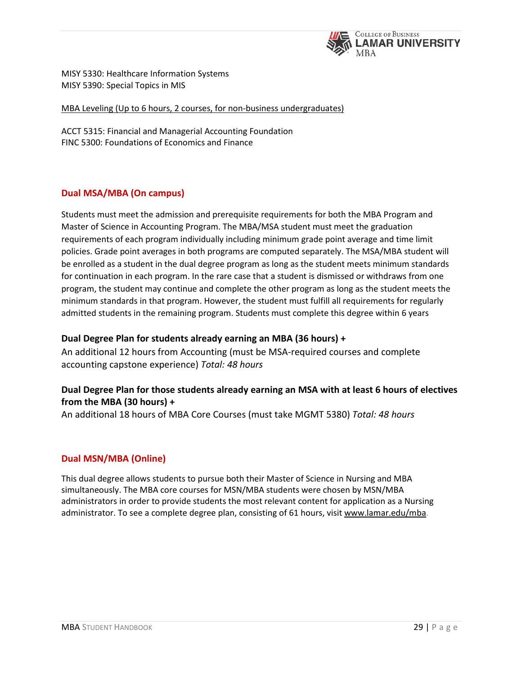

MISY 5330: Healthcare Information Systems MISY 5390: Special Topics in MIS

MBA Leveling (Up to 6 hours, 2 courses, for non-business undergraduates)

ACCT 5315: Financial and Managerial Accounting Foundation FINC 5300: Foundations of Economics and Finance

# **Dual MSA/MBA (On campus)**

Students must meet the admission and prerequisite requirements for both the MBA Program and Master of Science in Accounting Program. The MBA/MSA student must meet the graduation requirements of each program individually including minimum grade point average and time limit policies. Grade point averages in both programs are computed separately. The MSA/MBA student will be enrolled as a student in the dual degree program as long as the student meets minimum standards for continuation in each program. In the rare case that a student is dismissed or withdraws from one program, the student may continue and complete the other program as long as the student meets the minimum standards in that program. However, the student must fulfill all requirements for regularly admitted students in the remaining program. Students must complete this degree within 6 years

#### **Dual Degree Plan for students already earning an MBA (36 hours) +**

An additional 12 hours from Accounting (must be MSA-required courses and complete accounting capstone experience) *Total: 48 hours*

# **Dual Degree Plan for those students already earning an MSA with at least 6 hours of electives from the MBA (30 hours) +**

An additional 18 hours of MBA Core Courses (must take MGMT 5380) *Total: 48 hours*

# **Dual MSN/MBA (Online)**

This dual degree allows students to pursue both their Master of Science in Nursing and MBA simultaneously. The MBA core courses for MSN/MBA students were chosen by MSN/MBA administrators in order to provide students the most relevant content for application as a Nursing administrator. To see a complete degree plan, consisting of 61 hours, visit [www.lamar.edu/mba.](http://www.lamar.edu/mba)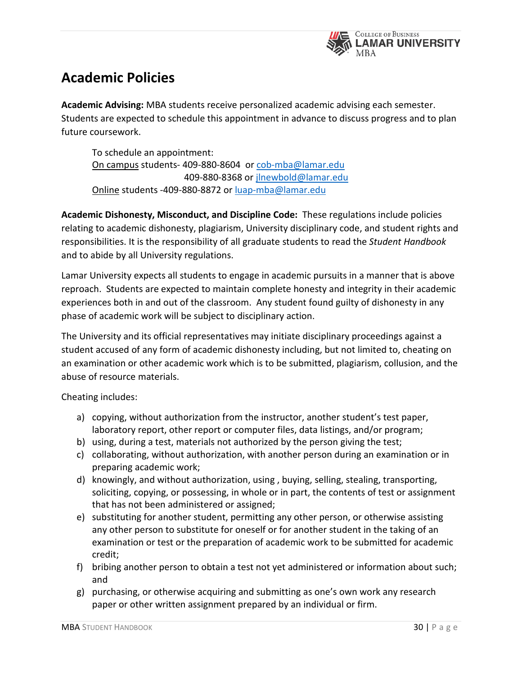

# **Academic Policies**

**Academic Advising:** MBA students receive personalized academic advising each semester. Students are expected to schedule this appointment in advance to discuss progress and to plan future coursework.

To schedule an appointment: On campus students- 409-880-8604 or [cob-mba@lamar.edu](mailto:cob-mba@lamar.edu) 409-880-8368 or [jlnewbold@lamar.edu](mailto:jlnewbold@lamar.edu) Online students -409-880-8872 or [luap-mba@lamar.edu](mailto:luap-mba@lamar.edu)

**Academic Dishonesty, Misconduct, and Discipline Code:** These regulations include policies relating to academic dishonesty, plagiarism, University disciplinary code, and student rights and responsibilities. It is the responsibility of all graduate students to read the *Student Handbook* and to abide by all University regulations.

Lamar University expects all students to engage in academic pursuits in a manner that is above reproach. Students are expected to maintain complete honesty and integrity in their academic experiences both in and out of the classroom. Any student found guilty of dishonesty in any phase of academic work will be subject to disciplinary action.

The University and its official representatives may initiate disciplinary proceedings against a student accused of any form of academic dishonesty including, but not limited to, cheating on an examination or other academic work which is to be submitted, plagiarism, collusion, and the abuse of resource materials.

Cheating includes:

- a) copying, without authorization from the instructor, another student's test paper, laboratory report, other report or computer files, data listings, and/or program;
- b) using, during a test, materials not authorized by the person giving the test;
- c) collaborating, without authorization, with another person during an examination or in preparing academic work;
- d) knowingly, and without authorization, using , buying, selling, stealing, transporting, soliciting, copying, or possessing, in whole or in part, the contents of test or assignment that has not been administered or assigned;
- e) substituting for another student, permitting any other person, or otherwise assisting any other person to substitute for oneself or for another student in the taking of an examination or test or the preparation of academic work to be submitted for academic credit;
- f) bribing another person to obtain a test not yet administered or information about such; and
- g) purchasing, or otherwise acquiring and submitting as one's own work any research paper or other written assignment prepared by an individual or firm.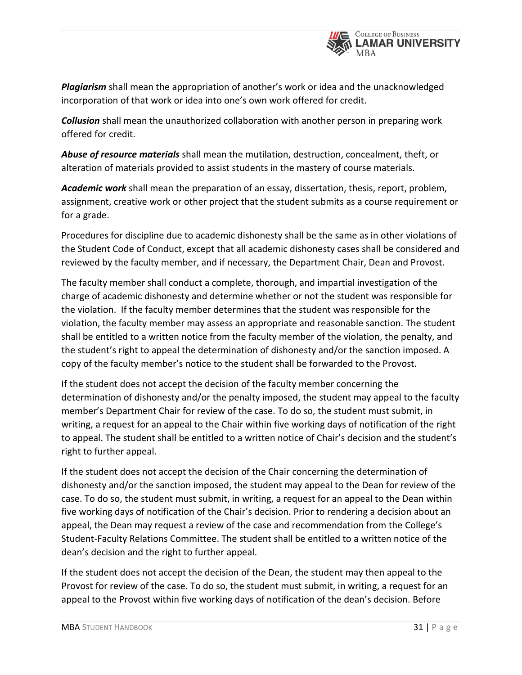

*Plagiarism* shall mean the appropriation of another's work or idea and the unacknowledged incorporation of that work or idea into one's own work offered for credit.

*Collusion* shall mean the unauthorized collaboration with another person in preparing work offered for credit.

*Abuse of resource materials* shall mean the mutilation, destruction, concealment, theft, or alteration of materials provided to assist students in the mastery of course materials.

*Academic work* shall mean the preparation of an essay, dissertation, thesis, report, problem, assignment, creative work or other project that the student submits as a course requirement or for a grade.

Procedures for discipline due to academic dishonesty shall be the same as in other violations of the Student Code of Conduct, except that all academic dishonesty cases shall be considered and reviewed by the faculty member, and if necessary, the Department Chair, Dean and Provost.

The faculty member shall conduct a complete, thorough, and impartial investigation of the charge of academic dishonesty and determine whether or not the student was responsible for the violation. If the faculty member determines that the student was responsible for the violation, the faculty member may assess an appropriate and reasonable sanction. The student shall be entitled to a written notice from the faculty member of the violation, the penalty, and the student's right to appeal the determination of dishonesty and/or the sanction imposed. A copy of the faculty member's notice to the student shall be forwarded to the Provost.

If the student does not accept the decision of the faculty member concerning the determination of dishonesty and/or the penalty imposed, the student may appeal to the faculty member's Department Chair for review of the case. To do so, the student must submit, in writing, a request for an appeal to the Chair within five working days of notification of the right to appeal. The student shall be entitled to a written notice of Chair's decision and the student's right to further appeal.

If the student does not accept the decision of the Chair concerning the determination of dishonesty and/or the sanction imposed, the student may appeal to the Dean for review of the case. To do so, the student must submit, in writing, a request for an appeal to the Dean within five working days of notification of the Chair's decision. Prior to rendering a decision about an appeal, the Dean may request a review of the case and recommendation from the College's Student-Faculty Relations Committee. The student shall be entitled to a written notice of the dean's decision and the right to further appeal.

If the student does not accept the decision of the Dean, the student may then appeal to the Provost for review of the case. To do so, the student must submit, in writing, a request for an appeal to the Provost within five working days of notification of the dean's decision. Before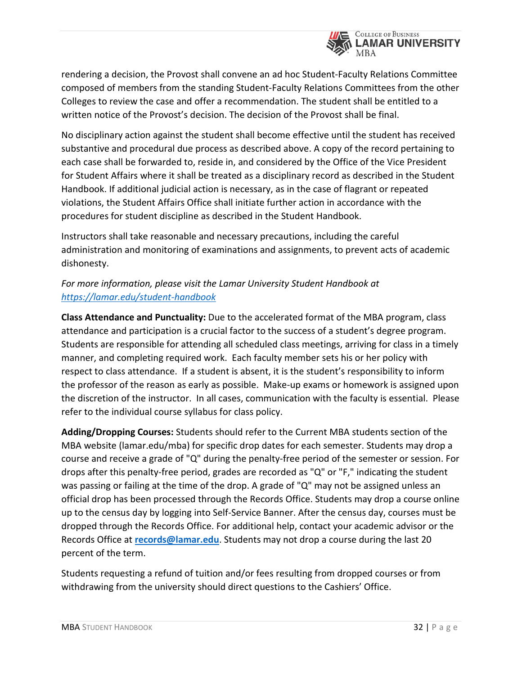

rendering a decision, the Provost shall convene an ad hoc Student-Faculty Relations Committee composed of members from the standing Student-Faculty Relations Committees from the other Colleges to review the case and offer a recommendation. The student shall be entitled to a written notice of the Provost's decision. The decision of the Provost shall be final.

No disciplinary action against the student shall become effective until the student has received substantive and procedural due process as described above. A copy of the record pertaining to each case shall be forwarded to, reside in, and considered by the Office of the Vice President for Student Affairs where it shall be treated as a disciplinary record as described in the Student Handbook. If additional judicial action is necessary, as in the case of flagrant or repeated violations, the Student Affairs Office shall initiate further action in accordance with the procedures for student discipline as described in the Student Handbook.

Instructors shall take reasonable and necessary precautions, including the careful administration and monitoring of examinations and assignments, to prevent acts of academic dishonesty.

# *For more information, please visit the Lamar University Student Handbook at <https://lamar.edu/student-handbook>*

**Class Attendance and Punctuality:** Due to the accelerated format of the MBA program, class attendance and participation is a crucial factor to the success of a student's degree program. Students are responsible for attending all scheduled class meetings, arriving for class in a timely manner, and completing required work. Each faculty member sets his or her policy with respect to class attendance. If a student is absent, it is the student's responsibility to inform the professor of the reason as early as possible. Make-up exams or homework is assigned upon the discretion of the instructor. In all cases, communication with the faculty is essential. Please refer to the individual course syllabus for class policy.

**Adding/Dropping Courses:** Students should refer to the Current MBA students section of the MBA website (lamar.edu/mba) for specific drop dates for each semester. Students may drop a course and receive a grade of "Q" during the penalty-free period of the semester or session. For drops after this penalty-free period, grades are recorded as "Q" or "F," indicating the student was passing or failing at the time of the drop. A grade of "Q" may not be assigned unless an official drop has been processed through the Records Office. Students may drop a course online up to the census day by logging into Self-Service Banner. After the census day, courses must be dropped through the Records Office. For additional help, contact your academic advisor or the Records Office at **[records@lamar.edu](mailto:records@lamar.edu)**. Students may not drop a course during the last 20 percent of the term.

Students requesting a refund of tuition and/or fees resulting from dropped courses or from withdrawing from the university should direct questions to the Cashiers' Office.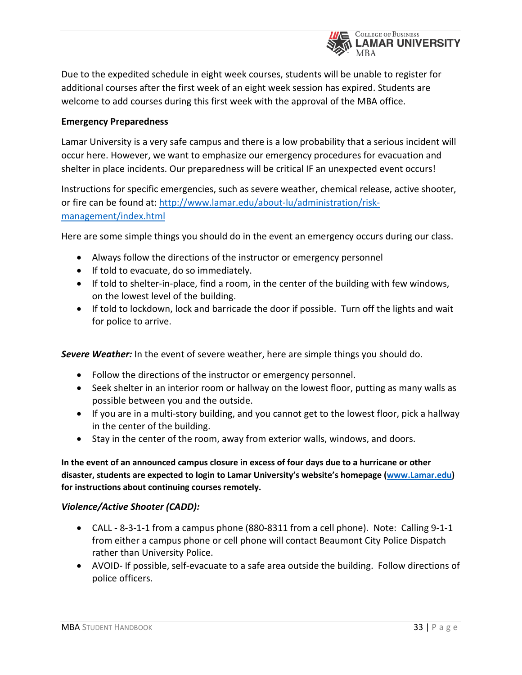

Due to the expedited schedule in eight week courses, students will be unable to register for additional courses after the first week of an eight week session has expired. Students are welcome to add courses during this first week with the approval of the MBA office.

# **Emergency Preparedness**

Lamar University is a very safe campus and there is a low probability that a serious incident will occur here. However, we want to emphasize our emergency procedures for evacuation and shelter in place incidents. Our preparedness will be critical IF an unexpected event occurs!

Instructions for specific emergencies, such as severe weather, chemical release, active shooter, or fire can be found at[: http://www.lamar.edu/about-lu/administration/risk](http://www.lamar.edu/about-lu/administration/risk-management/index.html)[management/index.html](http://www.lamar.edu/about-lu/administration/risk-management/index.html)

Here are some simple things you should do in the event an emergency occurs during our class.

- Always follow the directions of the instructor or emergency personnel
- If told to evacuate, do so immediately.
- If told to shelter-in-place, find a room, in the center of the building with few windows, on the lowest level of the building.
- If told to lockdown, lock and barricade the door if possible. Turn off the lights and wait for police to arrive.

*Severe Weather:* In the event of severe weather, here are simple things you should do.

- Follow the directions of the instructor or emergency personnel.
- Seek shelter in an interior room or hallway on the lowest floor, putting as many walls as possible between you and the outside.
- If you are in a multi-story building, and you cannot get to the lowest floor, pick a hallway in the center of the building.
- Stay in the center of the room, away from exterior walls, windows, and doors.

# **In the event of an announced campus closure in excess of four days due to a hurricane or other disaster, students are expected to login to Lamar University's website's homepage [\(www.Lamar.edu\)](http://lu.lamar.edu/service/extension/convertd/convertd/6/www.Lamar.edu) for instructions about continuing courses remotely.**

# *Violence/Active Shooter (CADD):*

- CALL 8-3-1-1 from a campus phone (880-8311 from a cell phone). Note: Calling 9-1-1 from either a campus phone or cell phone will contact Beaumont City Police Dispatch rather than University Police.
- AVOID- If possible, self-evacuate to a safe area outside the building. Follow directions of police officers.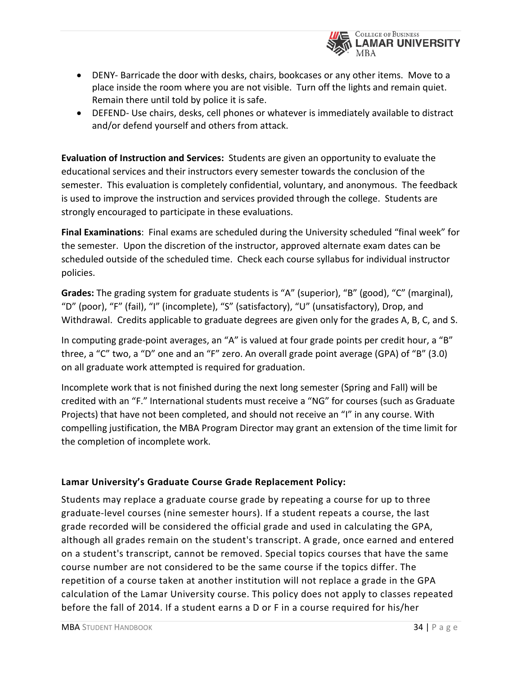

- DENY- Barricade the door with desks, chairs, bookcases or any other items. Move to a place inside the room where you are not visible. Turn off the lights and remain quiet. Remain there until told by police it is safe.
- DEFEND- Use chairs, desks, cell phones or whatever is immediately available to distract and/or defend yourself and others from attack.

**Evaluation of Instruction and Services:** Students are given an opportunity to evaluate the educational services and their instructors every semester towards the conclusion of the semester. This evaluation is completely confidential, voluntary, and anonymous. The feedback is used to improve the instruction and services provided through the college. Students are strongly encouraged to participate in these evaluations.

**Final Examinations**: Final exams are scheduled during the University scheduled "final week" for the semester. Upon the discretion of the instructor, approved alternate exam dates can be scheduled outside of the scheduled time. Check each course syllabus for individual instructor policies.

**Grades:** The grading system for graduate students is "A" (superior), "B" (good), "C" (marginal), "D" (poor), "F" (fail), "I" (incomplete), "S" (satisfactory), "U" (unsatisfactory), Drop, and Withdrawal. Credits applicable to graduate degrees are given only for the grades A, B, C, and S.

In computing grade-point averages, an "A" is valued at four grade points per credit hour, a "B" three, a "C" two, a "D" one and an "F" zero. An overall grade point average (GPA) of "B" (3.0) on all graduate work attempted is required for graduation.

Incomplete work that is not finished during the next long semester (Spring and Fall) will be credited with an "F." International students must receive a "NG" for courses (such as Graduate Projects) that have not been completed, and should not receive an "I" in any course. With compelling justification, the MBA Program Director may grant an extension of the time limit for the completion of incomplete work.

# **Lamar University's Graduate Course Grade Replacement Policy:**

Students may replace a graduate course grade by repeating a course for up to three graduate-level courses (nine semester hours). If a student repeats a course, the last grade recorded will be considered the official grade and used in calculating the GPA, although all grades remain on the student's transcript. A grade, once earned and entered on a student's transcript, cannot be removed. Special topics courses that have the same course number are not considered to be the same course if the topics differ. The repetition of a course taken at another institution will not replace a grade in the GPA calculation of the Lamar University course. This policy does not apply to classes repeated before the fall of 2014. If a student earns a D or F in a course required for his/her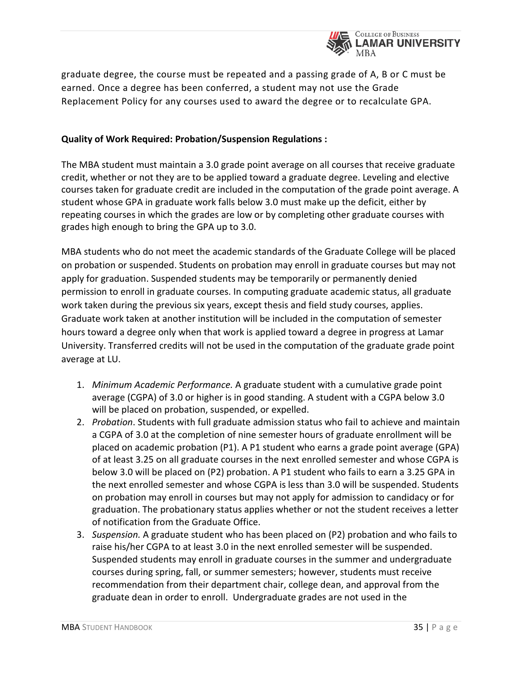

graduate degree, the course must be repeated and a passing grade of A, B or C must be earned. Once a degree has been conferred, a student may not use the Grade Replacement Policy for any courses used to award the degree or to recalculate GPA.

# **Quality of Work Required: Probation/Suspension Regulations :**

The MBA student must maintain a 3.0 grade point average on all courses that receive graduate credit, whether or not they are to be applied toward a graduate degree. Leveling and elective courses taken for graduate credit are included in the computation of the grade point average. A student whose GPA in graduate work falls below 3.0 must make up the deficit, either by repeating courses in which the grades are low or by completing other graduate courses with grades high enough to bring the GPA up to 3.0.

MBA students who do not meet the academic standards of the Graduate College will be placed on probation or suspended. Students on probation may enroll in graduate courses but may not apply for graduation. Suspended students may be temporarily or permanently denied permission to enroll in graduate courses. In computing graduate academic status, all graduate work taken during the previous six years, except thesis and field study courses, applies. Graduate work taken at another institution will be included in the computation of semester hours toward a degree only when that work is applied toward a degree in progress at Lamar University. Transferred credits will not be used in the computation of the graduate grade point average at LU.

- 1. *Minimum Academic Performance.* A graduate student with a cumulative grade point average (CGPA) of 3.0 or higher is in good standing. A student with a CGPA below 3.0 will be placed on probation, suspended, or expelled.
- 2. *Probation*. Students with full graduate admission status who fail to achieve and maintain a CGPA of 3.0 at the completion of nine semester hours of graduate enrollment will be placed on academic probation (P1). A P1 student who earns a grade point average (GPA) of at least 3.25 on all graduate courses in the next enrolled semester and whose CGPA is below 3.0 will be placed on (P2) probation. A P1 student who fails to earn a 3.25 GPA in the next enrolled semester and whose CGPA is less than 3.0 will be suspended. Students on probation may enroll in courses but may not apply for admission to candidacy or for graduation. The probationary status applies whether or not the student receives a letter of notification from the Graduate Office.
- 3. *Suspension.* A graduate student who has been placed on (P2) probation and who fails to raise his/her CGPA to at least 3.0 in the next enrolled semester will be suspended. Suspended students may enroll in graduate courses in the summer and undergraduate courses during spring, fall, or summer semesters; however, students must receive recommendation from their department chair, college dean, and approval from the graduate dean in order to enroll. Undergraduate grades are not used in the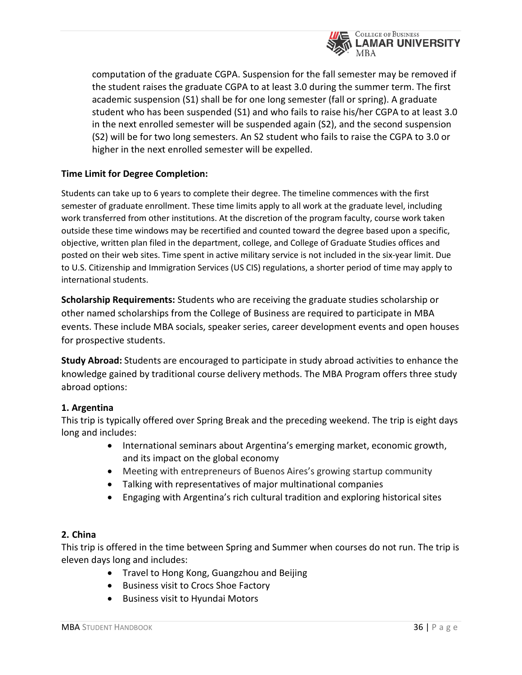

computation of the graduate CGPA. Suspension for the fall semester may be removed if the student raises the graduate CGPA to at least 3.0 during the summer term. The first academic suspension (S1) shall be for one long semester (fall or spring). A graduate student who has been suspended (S1) and who fails to raise his/her CGPA to at least 3.0 in the next enrolled semester will be suspended again (S2), and the second suspension (S2) will be for two long semesters. An S2 student who fails to raise the CGPA to 3.0 or higher in the next enrolled semester will be expelled.

# **Time Limit for Degree Completion:**

Students can take up to 6 years to complete their degree. The timeline commences with the first semester of graduate enrollment. These time limits apply to all work at the graduate level, including work transferred from other institutions. At the discretion of the program faculty, course work taken outside these time windows may be recertified and counted toward the degree based upon a specific, objective, written plan filed in the department, college, and College of Graduate Studies offices and posted on their web sites. Time spent in active military service is not included in the six-year limit. Due to U.S. Citizenship and Immigration Services (US CIS) regulations, a shorter period of time may apply to international students.

**Scholarship Requirements:** Students who are receiving the graduate studies scholarship or other named scholarships from the College of Business are required to participate in MBA events. These include MBA socials, speaker series, career development events and open houses for prospective students.

**Study Abroad:** Students are encouraged to participate in study abroad activities to enhance the knowledge gained by traditional course delivery methods. The MBA Program offers three study abroad options:

# **1. Argentina**

This trip is typically offered over Spring Break and the preceding weekend. The trip is eight days long and includes:

- International seminars about Argentina's emerging market, economic growth, and its impact on the global economy
- Meeting with entrepreneurs of Buenos Aires's growing startup community
- Talking with representatives of major multinational companies
- Engaging with Argentina's rich cultural tradition and exploring historical sites

# **2. China**

This trip is offered in the time between Spring and Summer when courses do not run. The trip is eleven days long and includes:

- Travel to Hong Kong, Guangzhou and Beijing
- Business visit to Crocs Shoe Factory
- Business visit to Hyundai Motors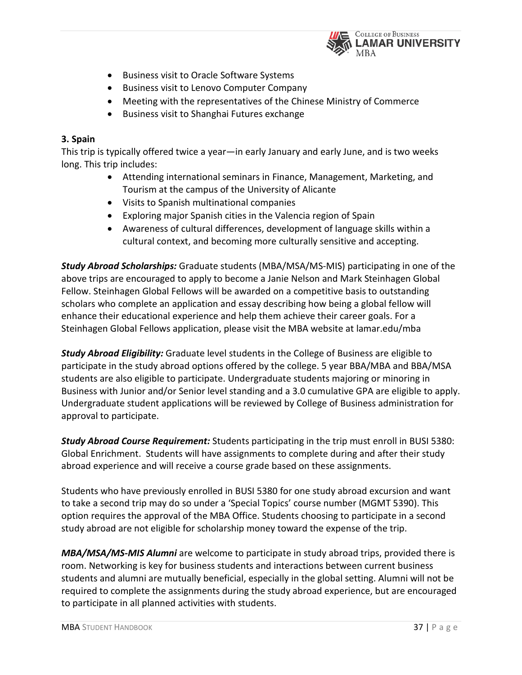

- Business visit to Oracle Software Systems
- Business visit to Lenovo Computer Company
- Meeting with the representatives of the Chinese Ministry of Commerce
- Business visit to Shanghai Futures exchange

# **3. Spain**

This trip is typically offered twice a year—in early January and early June, and is two weeks long. This trip includes:

- Attending international seminars in Finance, Management, Marketing, and Tourism at the campus of the University of Alicante
- Visits to Spanish multinational companies
- Exploring major Spanish cities in the Valencia region of Spain
- Awareness of cultural differences, development of language skills within a cultural context, and becoming more culturally sensitive and accepting.

*Study Abroad Scholarships:* Graduate students (MBA/MSA/MS-MIS) participating in one of the above trips are encouraged to apply to become a Janie Nelson and Mark Steinhagen Global Fellow. Steinhagen Global Fellows will be awarded on a competitive basis to outstanding scholars who complete an application and essay describing how being a global fellow will enhance their educational experience and help them achieve their career goals. For a Steinhagen Global Fellows application, please visit the MBA website at lamar.edu/mba

*Study Abroad Eligibility:* Graduate level students in the College of Business are eligible to participate in the study abroad options offered by the college. 5 year BBA/MBA and BBA/MSA students are also eligible to participate. Undergraduate students majoring or minoring in Business with Junior and/or Senior level standing and a 3.0 cumulative GPA are eligible to apply. Undergraduate student applications will be reviewed by College of Business administration for approval to participate.

*Study Abroad Course Requirement:* Students participating in the trip must enroll in BUSI 5380: Global Enrichment. Students will have assignments to complete during and after their study abroad experience and will receive a course grade based on these assignments.

Students who have previously enrolled in BUSI 5380 for one study abroad excursion and want to take a second trip may do so under a 'Special Topics' course number (MGMT 5390). This option requires the approval of the MBA Office. Students choosing to participate in a second study abroad are not eligible for scholarship money toward the expense of the trip.

*MBA/MSA/MS-MIS Alumni* are welcome to participate in study abroad trips, provided there is room. Networking is key for business students and interactions between current business students and alumni are mutually beneficial, especially in the global setting. Alumni will not be required to complete the assignments during the study abroad experience, but are encouraged to participate in all planned activities with students.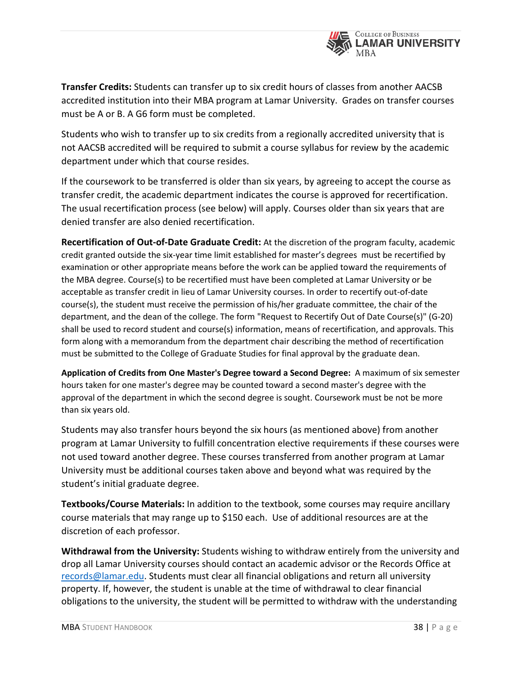

**Transfer Credits:** Students can transfer up to six credit hours of classes from another AACSB accredited institution into their MBA program at Lamar University. Grades on transfer courses must be A or B. A G6 form must be completed.

Students who wish to transfer up to six credits from a regionally accredited university that is not AACSB accredited will be required to submit a course syllabus for review by the academic department under which that course resides.

If the coursework to be transferred is older than six years, by agreeing to accept the course as transfer credit, the academic department indicates the course is approved for recertification. The usual recertification process (see below) will apply. Courses older than six years that are denied transfer are also denied recertification.

**Recertification of Out-of-Date Graduate Credit:** At the discretion of the program faculty, academic credit granted outside the six-year time limit established for master's degrees must be recertified by examination or other appropriate means before the work can be applied toward the requirements of the MBA degree. Course(s) to be recertified must have been completed at Lamar University or be acceptable as transfer credit in lieu of Lamar University courses. In order to recertify out-of-date course(s), the student must receive the permission of his/her graduate committee, the chair of the department, and the dean of the college. The form "Request to Recertify Out of Date Course(s)" (G-20) shall be used to record student and course(s) information, means of recertification, and approvals. This form along with a memorandum from the department chair describing the method of recertification must be submitted to the College of Graduate Studies for final approval by the graduate dean.

**Application of Credits from One Master's Degree toward a Second Degree:** A maximum of six semester hours taken for one master's degree may be counted toward a second master's degree with the approval of the department in which the second degree is sought. Coursework must be not be more than six years old.

Students may also transfer hours beyond the six hours (as mentioned above) from another program at Lamar University to fulfill concentration elective requirements if these courses were not used toward another degree. These courses transferred from another program at Lamar University must be additional courses taken above and beyond what was required by the student's initial graduate degree.

**Textbooks/Course Materials:** In addition to the textbook, some courses may require ancillary course materials that may range up to \$150 each. Use of additional resources are at the discretion of each professor.

**Withdrawal from the University:** Students wishing to withdraw entirely from the university and drop all Lamar University courses should contact an academic advisor or the Records Office at [records@lamar.edu.](mailto:records@lamar.edu) Students must clear all financial obligations and return all university property. If, however, the student is unable at the time of withdrawal to clear financial obligations to the university, the student will be permitted to withdraw with the understanding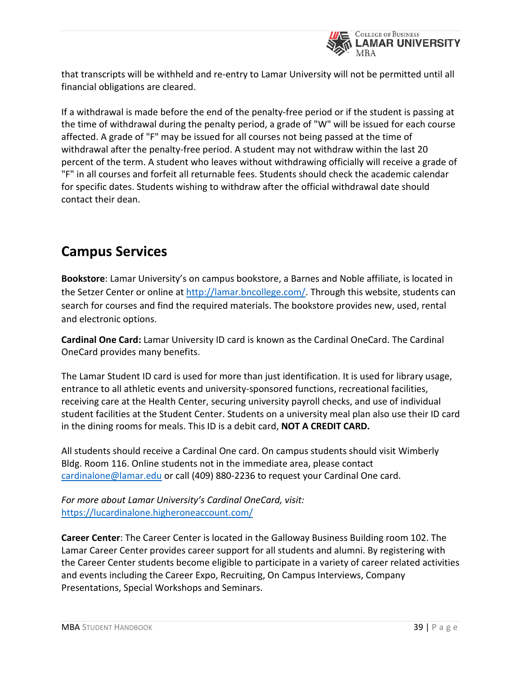

that transcripts will be withheld and re-entry to Lamar University will not be permitted until all financial obligations are cleared.

If a withdrawal is made before the end of the penalty-free period or if the student is passing at the time of withdrawal during the penalty period, a grade of "W" will be issued for each course affected. A grade of "F" may be issued for all courses not being passed at the time of withdrawal after the penalty-free period. A student may not withdraw within the last 20 percent of the term. A student who leaves without withdrawing officially will receive a grade of "F" in all courses and forfeit all returnable fees. Students should check the academic calendar for specific dates. Students wishing to withdraw after the official withdrawal date should contact their dean.

# **Campus Services**

**Bookstore**: Lamar University's on campus bookstore, a Barnes and Noble affiliate, is located in the Setzer Center or online at [http://lamar.bncollege.com/.](http://lamar.bncollege.com/) Through this website, students can search for courses and find the required materials. The bookstore provides new, used, rental and electronic options.

**Cardinal One Card:** Lamar University ID card is known as the Cardinal OneCard. The Cardinal OneCard provides many benefits.

The Lamar Student ID card is used for more than just identification. It is used for library usage, entrance to all athletic events and university-sponsored functions, recreational facilities, receiving care at the Health Center, securing university payroll checks, and use of individual student facilities at the Student Center. Students on a university meal plan also use their ID card in the dining rooms for meals. This ID is a debit card, **NOT A CREDIT CARD.**

All students should receive a Cardinal One card. On campus students should visit Wimberly Bldg. Room 116. Online students not in the immediate area, please contact [cardinalone@lamar.edu](mailto:cardinalone@lamar.edu) or call (409) 880-2236 to request your Cardinal One card.

*For more about Lamar University's Cardinal OneCard, visit:*  <https://lucardinalone.higheroneaccount.com/>

**Career Center**: The Career Center is located in the Galloway Business Building room 102. The Lamar Career Center provides career support for all students and alumni. By registering with the Career Center students become eligible to participate in a variety of career related activities and events including the Career Expo, Recruiting, On Campus Interviews, Company Presentations, Special Workshops and Seminars.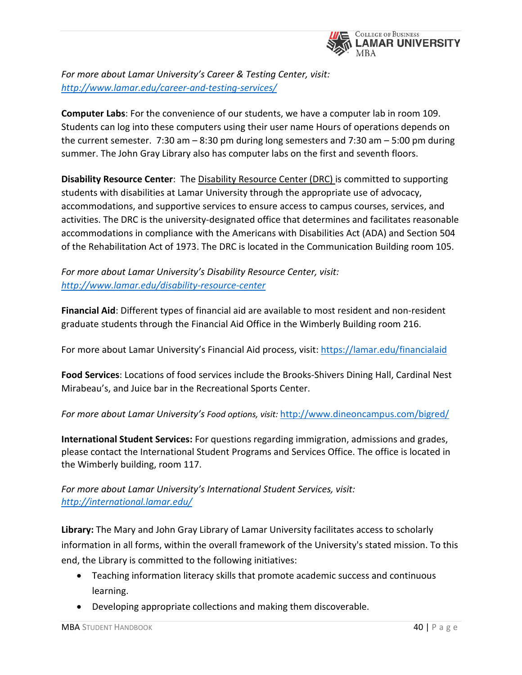

*For more about Lamar University's Career & Testing Center, visit: <http://www.lamar.edu/career-and-testing-services/>*

**Computer Labs**: For the convenience of our students, we have a computer lab in room 109. Students can log into these computers using their user name Hours of operations depends on the current semester. 7:30 am – 8:30 pm during long semesters and 7:30 am – 5:00 pm during summer. The John Gray Library also has computer labs on the first and seventh floors.

**Disability Resource Center**: The [Disability](http://my.lamar.edu/cp/render.UserLayoutRootNode.uP?uP_tparam=utf&utf=http://dept.lamar.edu/sfswd) Resource Center (DRC) is committed to supporting students with disabilities at Lamar University through the appropriate use of advocacy, accommodations, and supportive services to ensure access to campus courses, services, and activities. The DRC is the university-designated office that determines and facilitates reasonable accommodations in compliance with the Americans with Disabilities Act (ADA) and Section 504 of the Rehabilitation Act of 1973. The DRC is located in the Communication Building room 105.

*For more about Lamar University's Disability Resource Center, visit: <http://www.lamar.edu/disability-resource-center>*

**Financial Aid**: Different types of financial aid are available to most resident and non-resident graduate students through the Financial Aid Office in the Wimberly Building room 216.

For more about Lamar University's Financial Aid process, visit:<https://lamar.edu/financialaid>

**Food Services**: Locations of food services include the Brooks-Shivers Dining Hall, Cardinal Nest Mirabeau's, and Juice bar in the Recreational Sports Center.

# *For more about Lamar University's Food options, visit:* <http://www.dineoncampus.com/bigred/>

**International Student Services:** For questions regarding immigration, admissions and grades, please contact the International Student Programs and Services Office. The office is located in the Wimberly building, room 117.

# *For more about Lamar University's International Student Services, visit: <http://international.lamar.edu/>*

**Library:** The Mary and John Gray Library of Lamar University facilitates access to scholarly information in all forms, within the overall framework of the University's stated mission. To this end, the Library is committed to the following initiatives:

- Teaching information literacy skills that promote academic success and continuous learning.
- Developing appropriate collections and making them discoverable.